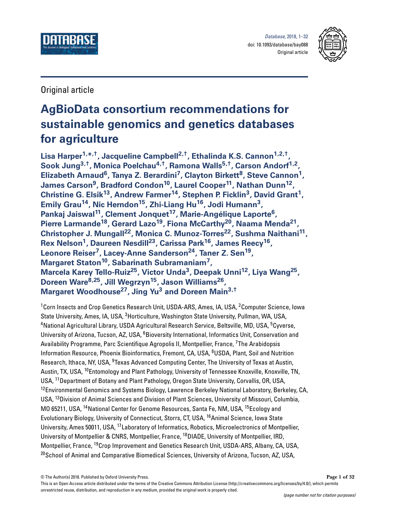

Database, 2018, 1–32 doi: 10.1093/database/bay088 Original article



Original article

# **AgBioData consortium recommendations for sustainable genomics and genetics databases for agriculture**

**Lisa Harper1,\*,†, Jacqueline Campbell2,†, Ethalinda K.S. Cannon1,2,†, Sook Jung3,†, Monica Poelchau4,†, Ramona Walls5,†, Carson Andorf1,2, Elizabeth Arnaud6, Tanya Z. Berardini7, Clayton Birkett8, Steve Cannon1, James Carson9, Bradford Condon10, Laurel Cooper11, Nathan Dunn12, Christine G. Elsik13, Andrew Farmer14, Stephen P. Ficklin3, David Grant1, Emily Grau14, Nic Herndon15, Zhi-Liang Hu16, Jodi Humann3,** Pankaj Jaiswal<sup>11</sup>, Clement Jonquet<sup>17</sup>, Marie-Angélique Laporte<sup>6</sup>, Pierre Larmande<sup>18</sup>, Gerard Lazo<sup>19</sup>, Fiona McCarthy<sup>20</sup>, Naama Menda<sup>21</sup>. **Christopher J. Mungall<sup>22</sup>, Monica C. Munoz-Torres<sup>22</sup>, Sushma Naithani<sup>11</sup>, Rex Nelson1, Daureen Nesdill23, Carissa Park16, James Reecy16,** Leonore Reiser<sup>7</sup>, Lacey-Anne Sanderson<sup>24</sup>, Taner Z. Sen<sup>19</sup>, **Margaret Staton10, Sabarinath Subramaniam7, Marcela Karey Tello-Ruiz25, Victor Unda3, Deepak Unni12, Liya Wang25, Doreen Ware8,25, Jill Wegrzyn15, Jason Williams26, Margaret Woodhouse27, Jing Yu3 and Doreen Main3,†**

 $1$ Corn Insects and Crop Genetics Research Unit, USDA-ARS, Ames, IA, USA,  $2$ Computer Science, Iowa State University, Ames, IA, USA, <sup>3</sup>Horticulture, Washington State University, Pullman, WA, USA, <sup>4</sup> National Agricultural Library, USDA Agricultural Research Service, Beltsville, MD, USA, <sup>5</sup>Cyverse, University of Arizona, Tucson, AZ, USA, <sup>6</sup>Bioversity International, Informatics Unit, Conservation and Availability Programme, Parc Scientifique Agropolis II, Montpellier, France, 7The Arabidopsis Information Resource, Phoenix Bioinformatics, Fremont, CA, USA, <sup>8</sup>USDA, Plant, Soil and Nutrition Research, Ithaca, NY, USA, <sup>9</sup>Texas Advanced Computing Center, The University of Texas at Austin, Austin, TX, USA, <sup>10</sup>Entomology and Plant Pathology, University of Tennessee Knoxville, Knoxville, TN, USA, 11Department of Botany and Plant Pathology, Oregon State University, Corvallis, OR, USA, <sup>12</sup>Environmental Genomics and Systems Biology, Lawrence Berkeley National Laboratory, Berkeley, CA, USA, 13Division of Animal Sciences and Division of Plant Sciences, University of Missouri, Columbia, MO 65211, USA, <sup>14</sup> National Center for Genome Resources, Santa Fe, NM, USA, <sup>15</sup>Ecology and Evolutionary Biology, University of Connecticut, Storrs, CT, USA, <sup>16</sup>Animal Science, Iowa State University, Ames 50011, USA, 17Laboratory of Informatics, Robotics, Microelectronics of Montpellier, University of Montpellier & CNRS, Montpellier, France, <sup>18</sup>DIADE, University of Montpellier, IRD, Montpellier, France, 19Crop Improvement and Genetics Research Unit, USDA-ARS, Albany, CA, USA, <sup>20</sup>School of Animal and Comparative Biomedical Sciences, University of Arizona, Tucson, AZ, USA,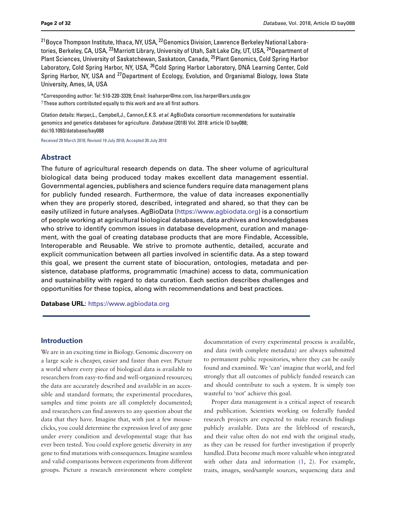<sup>21</sup> Boyce Thompson Institute, Ithaca, NY, USA, <sup>22</sup> Genomics Division, Lawrence Berkeley National Laboratories, Berkeley, CA, USA, <sup>23</sup>Marriott Library, University of Utah, Salt Lake City, UT, USA, <sup>24</sup>Department of Plant Sciences, University of Saskatchewan, Saskatoon, Canada, <sup>25</sup> Plant Genomics, Cold Spring Harbor Laboratory, Cold Spring Harbor, NY, USA, <sup>26</sup>Cold Spring Harbor Laboratory, DNA Learning Center, Cold Spring Harbor, NY, USA and <sup>27</sup> Department of Ecology, Evolution, and Organismal Biology, Iowa State University, Ames, IA, USA

\*Corresponding author: Tel: 510-220-3339; Email: lisaharper@me.com, lisa.harper@ars.usda.gov †These authors contributed equally to this work and are all first authors.

Citation details: Harper,L., Campbell,J., Cannon,E.K.S. et al. AgBioData consortium recommendations for sustainable genomics and genetics databases for agriculture. Database (2018) Vol. 2018: article ID bay088; doi:10.1093/database/bay088

Received 29 March 2018; Revised 19 July 2018; Accepted 30 July 2018

# **Abstract**

The future of agricultural research depends on data. The sheer volume of agricultural biological data being produced today makes excellent data management essential. Governmental agencies, publishers and science funders require data management plans for publicly funded research. Furthermore, the value of data increases exponentially when they are properly stored, described, integrated and shared, so that they can be easily utilized in future analyses. AgBioData [\(https://www.agbiodata.org\)](https://www.agbiodata.org) is a consortium of people working at agricultural biological databases, data archives and knowledgbases who strive to identify common issues in database development, curation and management, with the goal of creating database products that are more Findable, Accessible, Interoperable and Reusable. We strive to promote authentic, detailed, accurate and explicit communication between all parties involved in scientific data. As a step toward this goal, we present the current state of biocuration, ontologies, metadata and persistence, database platforms, programmatic (machine) access to data, communication and sustainability with regard to data curation. Each section describes challenges and opportunities for these topics, along with recommendations and best practices.

**Database URL**: <https://www.agbiodata.org>

# **Introduction**

We are in an exciting time in Biology. Genomic discovery on a large scale is cheaper, easier and faster than ever. Picture a world where every piece of biological data is available to researchers from easy-to-find and well-organized resources; the data are accurately described and available in an accessible and standard formats; the experimental procedures, samples and time points are all completely documented; and researchers can find answers to any question about the data that they have. Imagine that, with just a few mouseclicks, you could determine the expression level of any gene under every condition and developmental stage that has ever been tested. You could explore genetic diversity in any gene to find mutations with consequences. Imagine seamless and valid comparisons between experiments from different groups. Picture a research environment where complete documentation of every experimental process is available, and data (with complete metadata) are always submitted to permanent public repositories, where they can be easily found and examined. We 'can' imagine that world, and feel strongly that all outcomes of publicly funded research can and should contribute to such a system. It is simply too wasteful to 'not' achieve this goal.

Proper data management is a critical aspect of research and publication. Scientists working on federally funded research projects are expected to make research findings publicly available. Data are the lifeblood of research, and their value often do not end with the original study, as they can be reused for further investigation if properly handled. Data become much more valuable when integrated with other data and information [\(1,](#page-28-0) [2\)](#page-28-1). For example, traits, images, seed/sample sources, sequencing data and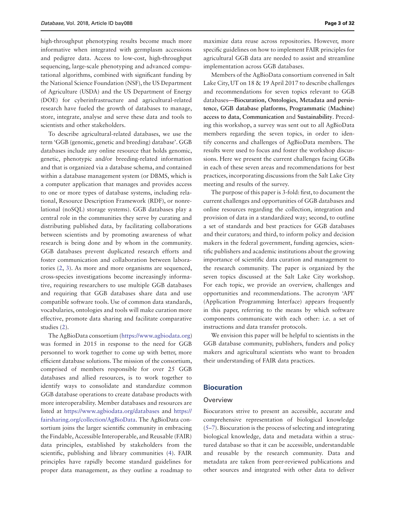high-throughput phenotyping results become much more informative when integrated with germplasm accessions and pedigree data. Access to low-cost, high-throughput sequencing, large-scale phenotyping and advanced computational algorithms, combined with significant funding by the National Science Foundation (NSF), the US Department of Agriculture (USDA) and the US Department of Energy (DOE) for cyberinfrastructure and agricultural-related research have fueled the growth of databases to manage, store, integrate, analyse and serve these data and tools to scientists and other stakeholders.

To describe agricultural-related databases, we use the term 'GGB (genomic, genetic and breeding) database'. GGB databases include any online resource that holds genomic, genetic, phenotypic and/or breeding-related information and that is organized via a database schema, and contained within a database management system (or DBMS, which is a computer application that manages and provides access to one or more types of database systems, including relational, Resource Description Framework (RDF), or nonrelational (noSQL) storage systems). GGB databases play a central role in the communities they serve by curating and distributing published data, by facilitating collaborations between scientists and by promoting awareness of what research is being done and by whom in the community. GGB databases prevent duplicated research efforts and foster communication and collaboration between laboratories [\(2,](#page-28-1) [3\)](#page-29-0). As more and more organisms are sequenced, cross-species investigations become increasingly informative, requiring researchers to use multiple GGB databases and requiring that GGB databases share data and use compatible software tools. Use of common data standards, vocabularies, ontologies and tools will make curation more effective, promote data sharing and facilitate comparative studies [\(2\)](#page-28-1).

The AgBioData consortium [\(https://www.agbiodata.org\)](https://www.agbiodata.org) was formed in 2015 in response to the need for GGB personnel to work together to come up with better, more efficient database solutions. The mission of the consortium, comprised of members responsible for over 25 GGB databases and allied resources, is to work together to identify ways to consolidate and standardize common GGB database operations to create database products with more interoperability. Member databases and resources are listed at <https://www.agbiodata.org/databases> and https:// [fairsharing.org/collection/AgBioData. The AgBioData con](https://fairsharing.org/collection/AgBioData)sortium joins the larger scientific community in embracing the Findable, Accessible Interoperable, and Reusable (FAIR) data principles, established by stakeholders from the scientific, publishing and library communities [\(4\)](#page-29-1). FAIR principles have rapidly become standard guidelines for proper data management, as they outline a roadmap to

maximize data reuse across repositories. However, more specific guidelines on how to implement FAIR principles for agricultural GGB data are needed to assist and streamline implementation across GGB databases.

Members of the AgBioData consortium convened in Salt Lake City, UT on 18 & 19 April 2017 to describe challenges and recommendations for seven topics relevant to GGB databases—**Biocuration, Ontologies, Metadata and persistence, GGB database platforms, Programmatic (Machine) access to data, Communication** and **Sustainability**. Preceding this workshop, a survey was sent out to all AgBioData members regarding the seven topics, in order to identify concerns and challenges of AgBioData members. The results were used to focus and foster the workshop discussions. Here we present the current challenges facing GGBs in each of these seven areas and recommendations for best practices, incorporating discussions from the Salt Lake City meeting and results of the survey.

The purpose of this paper is 3-fold: first, to document the current challenges and opportunities of GGB databases and online resources regarding the collection, integration and provision of data in a standardized way; second, to outline a set of standards and best practices for GGB databases and their curators; and third, to inform policy and decision makers in the federal government, funding agencies, scientific publishers and academic institutions about the growing importance of scientific data curation and management to the research community. The paper is organized by the seven topics discussed at the Salt Lake City workshop. For each topic, we provide an overview, challenges and opportunities and recommendations. The acronym 'API' (Application Programming Interface) appears frequently in this paper, referring to the means by which software components communicate with each other: i.e. a set of instructions and data transfer protocols.

We envision this paper will be helpful to scientists in the GGB database community, publishers, funders and policy makers and agricultural scientists who want to broaden their understanding of FAIR data practices.

# **Biocuration**

# **Overview**

Biocurators strive to present an accessible, accurate and comprehensive representation of biological knowledge [\(5–](#page-29-2)[7\)](#page-29-3). Biocuration is the process of selecting and integrating biological knowledge, data and metadata within a structured database so that it can be accessible, understandable and reusable by the research community. Data and metadata are taken from peer-reviewed publications and other sources and integrated with other data to deliver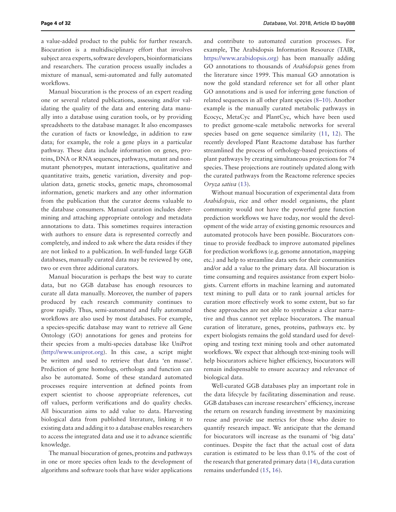a value-added product to the public for further research. Biocuration is a multidisciplinary effort that involves subject area experts, software developers, bioinformaticians and researchers. The curation process usually includes a mixture of manual, semi-automated and fully automated workflows.

Manual biocuration is the process of an expert reading one or several related publications, assessing and/or validating the quality of the data and entering data manually into a database using curation tools, or by providing spreadsheets to the database manager. It also encompasses the curation of facts or knowledge, in addition to raw data; for example, the role a gene plays in a particular pathway. These data include information on genes, proteins, DNA or RNA sequences, pathways, mutant and nonmutant phenotypes, mutant interactions, qualitative and quantitative traits, genetic variation, diversity and population data, genetic stocks, genetic maps, chromosomal information, genetic markers and any other information from the publication that the curator deems valuable to the database consumers. Manual curation includes determining and attaching appropriate ontology and metadata annotations to data. This sometimes requires interaction with authors to ensure data is represented correctly and completely, and indeed to ask where the data resides if they are not linked to a publication. In well-funded large GGB databases, manually curated data may be reviewed by one, two or even three additional curators.

Manual biocuration is perhaps the best way to curate data, but no GGB database has enough resources to curate all data manually. Moreover, the number of papers produced by each research community continues to grow rapidly. Thus, semi-automated and fully automated workflows are also used by most databases. For example, a species-specific database may want to retrieve all Gene Ontology (GO) annotations for genes and proteins for their species from a multi-species database like UniProt [\(http://www.uniprot.org\)](http://www.uniprot.org). In this case, a script might be written and used to retrieve that data 'en masse'. Prediction of gene homologs, orthologs and function can also be automated. Some of these standard automated processes require intervention at defined points from expert scientist to choose appropriate references, cut off values, perform verifications and do quality checks. All biocuration aims to add value to data. Harvesting biological data from published literature, linking it to existing data and adding it to a database enables researchers to access the integrated data and use it to advance scientific knowledge.

The manual biocuration of genes, proteins and pathways in one or more species often leads to the development of algorithms and software tools that have wider applications and contribute to automated curation processes. For example, The Arabidopsis Information Resource (TAIR, [https://www.arabidopsis.org\)](https://www.arabidopsis.org) has been manually adding GO annotations to thousands of *Arabidopsis* genes from the literature since 1999. This manual GO annotation is now the gold standard reference set for all other plant GO annotations and is used for inferring gene function of related sequences in all other plant species [\(8–](#page-29-4)[10\)](#page-29-5). Another example is the manually curated metabolic pathways in Ecocyc, MetaCyc and PlantCyc, which have been used to predict genome-scale metabolic networks for several species based on gene sequence similarity [\(11,](#page-29-6) [12\)](#page-29-7). The recently developed Plant Reactome database has further streamlined the process of orthology-based projections of plant pathways by creating simultaneous projections for 74 species. These projections are routinely updated along with the curated pathways from the Reactome reference species *Oryza sativa* [\(13\)](#page-29-8).

Without manual biocuration of experimental data from *Arabidopsis*, rice and other model organisms, the plant community would not have the powerful gene function prediction workflows we have today, nor would the development of the wide array of existing genomic resources and automated protocols have been possible. Biocurators continue to provide feedback to improve automated pipelines for prediction workflows (e.g. genome annotation, mapping etc.) and help to streamline data sets for their communities and/or add a value to the primary data. All biocuration is time consuming and requires assistance from expert biologists. Current efforts in machine learning and automated text mining to pull data or to rank journal articles for curation more effectively work to some extent, but so far these approaches are not able to synthesize a clear narrative and thus cannot yet replace biocurators. The manual curation of literature, genes, proteins, pathways etc. by expert biologists remains the gold standard used for developing and testing text mining tools and other automated workflows. We expect that although text-mining tools will help biocurators achieve higher efficiency, biocurators will remain indispensable to ensure accuracy and relevance of biological data.

Well-curated GGB databases play an important role in the data lifecycle by facilitating dissemination and reuse. GGB databases can increase researchers' efficiency, increase the return on research funding investment by maximizing reuse and provide use metrics for those who desire to quantify research impact. We anticipate that the demand for biocurators will increase as the tsunami of 'big data' continues. Despite the fact that the actual cost of data curation is estimated to be less than 0.1% of the cost of the research that generated primary data [\(14\)](#page-29-9), data curation remains underfunded [\(15,](#page-29-10) [16\)](#page-29-11).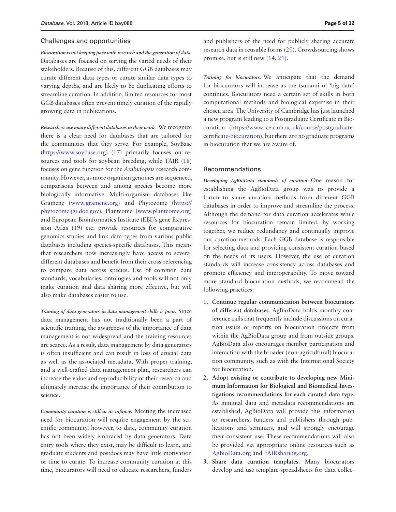#### Challenges and opportunities

*Biocuration is not keeping pace with research and the generation of data.* Databases are focused on serving the varied needs of their stakeholders. Because of this, different GGB databases may curate different data types or curate similar data types to varying depths, and are likely to be duplicating efforts to streamline curation. In addition, limited resources for most GGB databases often prevent timely curation of the rapidly growing data in publications.

*Researchers use many different databases in their work.* We recognize there is a clear need for databases that are tailored for the communities that they serve. For example, SoyBase [\(https://www.soybase.org\)](https://www.soybase.org) [\(17\)](#page-29-12) primarily focuses on resources and tools for soybean breeding, while TAIR [\(18\)](#page-29-13) focuses on gene function for the *Arabidopsis* research community. However, as more organism genomes are sequenced, comparisons between and among species become more biologically informative. Multi-organism databases like Gramene [\(www.gramene.org\)](http://www.gramene.org) and Phytozome (https:// [phytozome.jgi.doe.gov\), Planteome \(www.planteome.org\)](https://phytozome.jgi.doe.gov) and European Bioinformatics Institute (EBI)'s gene Expression Atlas [\(19\)](#page-29-14) etc. provide resources for comparative genomics studies and link data types from various public databases including species-specific databases. This means that researchers now increasingly have access to several different databases and benefit from their cross-referencing to compare data across species. Use of common data standards, vocabularies, ontologies and tools will not only make curation and data sharing more effective, but will also make databases easier to use.

*Training of data generators in data management skills is poor.* Since data management has not traditionally been a part of scientific training, the awareness of the importance of data management is not widespread and the training resources are scarce. As a result, data management by data generators is often insufficient and can result in loss of crucial data as well as the associated metadata. With proper training, and a well-crafted data management plan, researchers can increase the value and reproducibility of their research and ultimately increase the importance of their contribution to science.

*Community curation is still in its infancy.* Meeting the increased need for biocuration will require engagement by the scientific community, however, to date, community curation has not been widely embraced by data generators. Data entry tools where they exist, may be difficult to learn, and graduate students and postdocs may have little motivation or time to curate. To increase community curation at this time, biocurators will need to educate researchers, funders

and publishers of the need for publicly sharing accurate research data in reusable forms [\(20\)](#page-29-15). Crowdsourcing shows promise, but is still new [\(14,](#page-29-9) [21\)](#page-29-16).

*Training for biocurators.* We anticipate that the demand for biocurators will increase as the tsunami of 'big data' continues. Biocurators need a certain set of skills in both computational methods and biological expertise in their chosen area. The University of Cambridge has just launched a new program leading to a Postgraduate Certificate in Bio[curation \(https://www.ice.cam.ac.uk/course/postgraduate](https://www.ice.cam.ac.uk/course/postgraduate-certificate-biocuration)certificate-biocuration), but there are no graduate programs in biocuration that we are aware of.

#### Recommendations

*Developing AgBioData standards of curation.* One reason for establishing the AgBioData group was to provide a forum to share curation methods from different GGB databases in order to improve and streamline the process. Although the demand for data curation accelerates while resources for biocuration remain limited, by working together, we reduce redundancy and continually improve our curation methods. Each GGB database is responsible for selecting data and providing consistent curation based on the needs of its users. However, the use of curation standards will increase consistency across databases and promote efficiency and interoperability. To move toward more standard biocuration methods, we recommend the following practices:

- 1. **Continue regular communication between biocurators of different databases**. AgBioData holds monthly conference calls that frequently include discussions on curation issues or reports on biocuration projects from within the AgBioData group and from outside groups. AgBioData also encourages member participation and interaction with the broader (non-agricultural) biocuration community, such as with the International Society for Biocuration.
- 2. **Adopt existing or contribute to developing new Minimum Information for Biological and Biomedical Investigations recommendations for each curated data type.** As minimal data and metadata recommendations are established, AgBioData will provide this information to researchers, funders and publishers through publications and seminars, and will strongly encourage their consistent use. These recommendations will also be provided via appropriate online resources such as [AgBioData.org](http://AgBioData.org) and [FAIRsharing.org.](http://FAIRsharing.org)
- 3. **Share data curation templates.** Many biocurators develop and use template spreadsheets for data collec-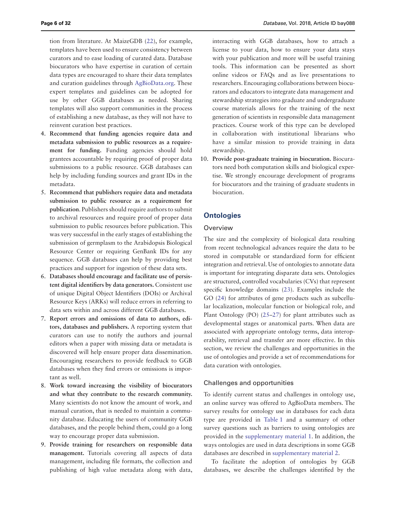tion from literature. At MaizeGDB [\(22\)](#page-29-17), for example, templates have been used to ensure consistency between curators and to ease loading of curated data. Database biocurators who have expertise in curation of certain data types are encouraged to share their data templates and curation guidelines through [AgBioData.org.](http://AgBioData.org) These expert templates and guidelines can be adopted for use by other GGB databases as needed. Sharing templates will also support communities in the process of establishing a new database, as they will not have to reinvent curation best practices.

- 4. **Recommend that funding agencies require data and metadata submission to public resources as a requirement for funding.** Funding agencies should hold grantees accountable by requiring proof of proper data submissions to a public resource. GGB databases can help by including funding sources and grant IDs in the metadata.
- 5. **Recommend that publishers require data and metadata submission to public resource as a requirement for publication**. Publishers should require authors to submit to archival resources and require proof of proper data submission to public resources before publication. This was very successful in the early stages of establishing the submission of germplasm to the Arabidopsis Biological Resource Center or requiring GenBank IDs for any sequence. GGB databases can help by providing best practices and support for ingestion of these data sets.
- 6. **Databases should encourage and facilitate use of persistent digital identifiers by data generators.** Consistent use of unique Digital Object Identifiers (DOIs) or Archival Resource Keys (ARKs) will reduce errors in referring to data sets within and across different GGB databases.
- 7. **Report errors and omissions of data to authors, editors, databases and publishers.** A reporting system that curators can use to notify the authors and journal editors when a paper with missing data or metadata is discovered will help ensure proper data dissemination. Encouraging researchers to provide feedback to GGB databases when they find errors or omissions is important as well.
- 8. **Work toward increasing the visibility of biocurators and what they contribute to the research community.** Many scientists do not know the amount of work, and manual curation, that is needed to maintain a community database. Educating the users of community GGB databases, and the people behind them, could go a long way to encourage proper data submission.
- 9. **Provide training for researchers on responsible data management.** Tutorials covering all aspects of data management, including file formats, the collection and publishing of high value metadata along with data,

interacting with GGB databases, how to attach a license to your data, how to ensure your data stays with your publication and more will be useful training tools. This information can be presented as short online videos or FAQs and as live presentations to researchers. Encouraging collaborations between biocurators and educators to integrate data management and stewardship strategies into graduate and undergraduate course materials allows for the training of the next generation of scientists in responsible data management practices. Course work of this type can be developed in collaboration with institutional librarians who have a similar mission to provide training in data stewardship.

10. **Provide post-graduate training in biocuration.** Biocurators need both computation skills and biological expertise. We strongly encourage development of programs for biocurators and the training of graduate students in biocuration.

# **Ontologies**

## Overview

The size and the complexity of biological data resulting from recent technological advances require the data to be stored in computable or standardized form for efficient integration and retrieval. Use of ontologies to annotate data is important for integrating disparate data sets. Ontologies are structured, controlled vocabularies (CVs) that represent specific knowledge domains [\(23\)](#page-29-18). Examples include the GO [\(24\)](#page-29-19) for attributes of gene products such as subcellular localization, molecular function or biological role, and Plant Ontology (PO) [\(25–](#page-29-20)[27\)](#page-29-21) for plant attributes such as developmental stages or anatomical parts. When data are associated with appropriate ontology terms, data interoperability, retrieval and transfer are more effective. In this section, we review the challenges and opportunities in the use of ontologies and provide a set of recommendations for data curation with ontologies.

## Challenges and opportunities

To identify current status and challenges in ontology use, an online survey was offered to AgBioData members. The survey results for ontology use in databases for each data type are provided in [Table 1](#page-6-0) and a summary of other survey questions such as barriers to using ontologies are provided in the [supplementary material 1.](https://docs.google.com/document/d/1Gz_rcajFbSzAIy-5IXFahEFlj_AmmIJlxDcdk1u_FZw/edit) In addition, the ways ontologies are used in data descriptions in some GGB databases are described in [supplementary material 2.](https://docs.google.com/document/d/1Gz_rcajFbSzAIy-5IXFahEFlj_AmmIJlxDcdk1u_FZw/edit)

To facilitate the adoption of ontologies by GGB databases, we describe the challenges identified by the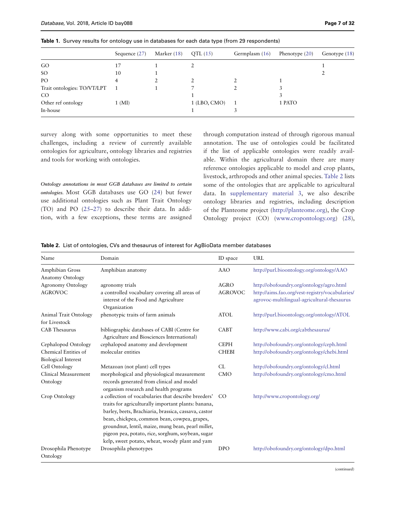|                             | Sequence $(27)$ | Marker (18) | QTL $(15)$     | Germplasm $(16)$ | Phenotype $(20)$ | Genotype (18) |
|-----------------------------|-----------------|-------------|----------------|------------------|------------------|---------------|
| GO                          | 17              |             |                |                  |                  |               |
| <sub>SO</sub>               | 10              |             |                |                  |                  |               |
| PO                          |                 |             |                |                  |                  |               |
| Trait ontologies: TO/VT/LPT | $\overline{1}$  |             |                |                  |                  |               |
| CO                          |                 |             |                |                  |                  |               |
| Other ref ontology          | 1 (MI)          |             | $1$ (LBO, CMO) | $\blacksquare$   | 1 PATO           |               |
| In-house                    |                 |             |                |                  |                  |               |

<span id="page-6-0"></span>**Table 1.** Survey results for ontology use in databases for each data type (from 29 respondents)

survey along with some opportunities to meet these challenges, including a review of currently available ontologies for agriculture, ontology libraries and registries and tools for working with ontologies.

*Ontology annotations in most GGB databases are limited to certain ontologies.* Most GGB databases use GO [\(24\)](#page-29-19) but fewer use additional ontologies such as Plant Trait Ontology (TO) and PO [\(25–](#page-29-20)[27\)](#page-29-21) to describe their data. In addition, with a few exceptions, these terms are assigned through computation instead of through rigorous manual annotation. The use of ontologies could be facilitated if the list of applicable ontologies were readily available. Within the agricultural domain there are many reference ontologies applicable to model and crop plants, livestock, arthropods and other animal species. [Table 2](#page-6-1) lists some of the ontologies that are applicable to agricultural data. In [supplementary material 3,](https://docs.google.com/document/d/1Gz_rcajFbSzAIy-5IXFahEFlj_AmmIJlxDcdk1u_FZw/edit) we also describe ontology libraries and registries, including description of the Planteome project [\(http://planteome.org\)](http://planteome.org), the Crop Ontology project (CO) [\(www.cropontology.org\)](http://www.cropontology.org) [\(28\)](#page-29-22),

<span id="page-6-1"></span>

|  |  | <b>Table 2.</b> List of ontologies, CVs and thesaurus of interest for AgBioData member databases |  |  |  |  |
|--|--|--------------------------------------------------------------------------------------------------|--|--|--|--|
|--|--|--------------------------------------------------------------------------------------------------|--|--|--|--|

| Name                                                                      | Domain                                                                                                                                                                                                                                                                                                                                                                           | ID space                      | <b>URL</b>                                                                                                                                 |
|---------------------------------------------------------------------------|----------------------------------------------------------------------------------------------------------------------------------------------------------------------------------------------------------------------------------------------------------------------------------------------------------------------------------------------------------------------------------|-------------------------------|--------------------------------------------------------------------------------------------------------------------------------------------|
| Amphibian Gross<br>Anatomy Ontology                                       | Amphibian anatomy                                                                                                                                                                                                                                                                                                                                                                | <b>AAO</b>                    | http://purl.bioontology.org/ontology/AAO                                                                                                   |
| Agronomy Ontology<br><b>AGROVOC</b>                                       | agronomy trials<br>a controlled vocabulary covering all areas of<br>interest of the Food and Agriculture<br>Organization                                                                                                                                                                                                                                                         | <b>AGRO</b><br><b>AGROVOC</b> | http://obofoundry.org/ontology/agro.html<br>http://aims.fao.org/vest-registry/vocabularies/<br>agrovoc-multilingual-agricultural-thesaurus |
| Animal Trait Ontology<br>for Livestock                                    | phenotypic traits of farm animals                                                                                                                                                                                                                                                                                                                                                | <b>ATOL</b>                   | http://purl.bioontology.org/ontology/ATOL                                                                                                  |
| <b>CAB</b> Thesaurus                                                      | bibliographic databases of CABI (Centre for<br>Agriculture and Biosciences International)                                                                                                                                                                                                                                                                                        | CABT                          | http://www.cabi.org/cabthesaurus/                                                                                                          |
| Cephalopod Ontology<br>Chemical Entities of<br><b>Biological Interest</b> | cephalopod anatomy and development<br>molecular entities                                                                                                                                                                                                                                                                                                                         | <b>CEPH</b><br><b>CHEBI</b>   | http://obofoundry.org/ontology/ceph.html<br>http://obofoundry.org/ontology/chebi.html                                                      |
| Cell Ontology                                                             | Metazoan (not plant) cell types                                                                                                                                                                                                                                                                                                                                                  | CL                            | http://obofoundry.org/ontology/cl.html                                                                                                     |
| Clinical Measurement<br>Ontology                                          | morphological and physiological measurement<br>records generated from clinical and model<br>organism research and health programs                                                                                                                                                                                                                                                | CMO                           | http://obofoundry.org/ontology/cmo.html                                                                                                    |
| Crop Ontology                                                             | a collection of vocabularies that describe breeders'<br>traits for agriculturally important plants: banana,<br>barley, beets, Brachiaria, brassica, cassava, castor<br>bean, chickpea, common bean, cowpea, grapes,<br>groundnut, lentil, maize, mung bean, pearl millet,<br>pigeon pea, potato, rice, sorghum, soybean, sugar<br>kelp, sweet potato, wheat, woody plant and yam | CO                            | http://www.cropontology.org/                                                                                                               |
| Drosophila Phenotype<br>Ontology                                          | Drosophila phenotypes                                                                                                                                                                                                                                                                                                                                                            | <b>DPO</b>                    | http://obofoundry.org/ontology/dpo.html                                                                                                    |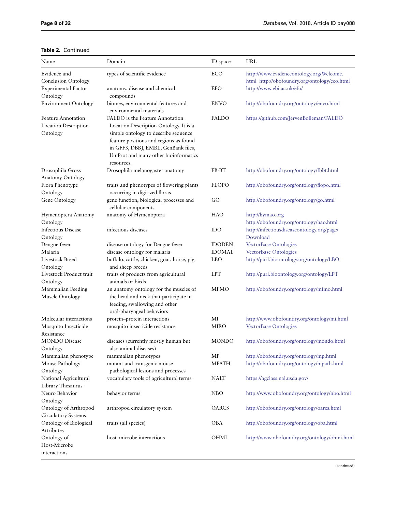# **Table 2.** Continued

| Name                                                                 | Domain                                                                                                                                                                                                                                                    | ID space      | URL                                                                                      |
|----------------------------------------------------------------------|-----------------------------------------------------------------------------------------------------------------------------------------------------------------------------------------------------------------------------------------------------------|---------------|------------------------------------------------------------------------------------------|
| Evidence and<br><b>Conclusion Ontology</b>                           | types of scientific evidence                                                                                                                                                                                                                              | ECO           | http://www.evidenceontology.org/Welcome.<br>html http://obofoundry.org/ontology/eco.html |
| <b>Experimental Factor</b><br>Ontology                               | anatomy, disease and chemical<br>compounds                                                                                                                                                                                                                | <b>EFO</b>    | http://www.ebi.ac.uk/efo/                                                                |
| Environment Ontology                                                 | biomes, environmental features and<br>environmental materials                                                                                                                                                                                             | <b>ENVO</b>   | http://obofoundry.org/ontology/envo.html                                                 |
| <b>Feature Annotation</b><br><b>Location Description</b><br>Ontology | FALDO is the Feature Annotation<br>Location Description Ontology. It is a<br>simple ontology to describe sequence<br>feature positions and regions as found<br>in GFF3, DBBJ, EMBL, GenBank files,<br>UniProt and many other bioinformatics<br>resources. | <b>FALDO</b>  | https://github.com/JervenBolleman/FALDO                                                  |
| Drosophila Gross<br>Anatomy Ontology                                 | Drosophila melanogaster anatomy                                                                                                                                                                                                                           | FB-BT         | http://obofoundry.org/ontology/fbbt.html                                                 |
| Flora Phenotype<br>Ontology                                          | traits and phenotypes of flowering plants<br>occurring in digitized floras                                                                                                                                                                                | <b>FLOPO</b>  | http://obofoundry.org/ontology/flopo.html                                                |
| Gene Ontology                                                        | gene function, biological processes and<br>cellular components                                                                                                                                                                                            | GO            | http://obofoundry.org/ontology/go.html                                                   |
| Hymenoptera Anatomy<br>Ontology                                      | anatomy of Hymenoptera                                                                                                                                                                                                                                    | HAO           | http://hymao.org<br>http://obofoundry.org/ontology/hao.html                              |
| <b>Infectious Disease</b><br>Ontology                                | infectious diseases                                                                                                                                                                                                                                       | <b>IDO</b>    | http://infectiousdiseaseontology.org/page/<br>Download                                   |
| Dengue fever                                                         | disease ontology for Dengue fever                                                                                                                                                                                                                         | <b>IDODEN</b> | VectorBase Ontologies                                                                    |
| Malaria                                                              | disease ontology for malaria                                                                                                                                                                                                                              | <b>IDOMAL</b> | VectorBase Ontologies                                                                    |
| Livestock Breed<br>Ontology                                          | buffalo, cattle, chicken, goat, horse, pig<br>and sheep breeds                                                                                                                                                                                            | <b>LBO</b>    | http://purl.bioontology.org/ontology/LBO                                                 |
| Livestock Product trait<br>Ontology                                  | traits of products from agricultural<br>animals or birds                                                                                                                                                                                                  | <b>LPT</b>    | http://purl.bioontology.org/ontology/LPT                                                 |
| Mammalian Feeding<br>Muscle Ontology                                 | an anatomy ontology for the muscles of<br>the head and neck that participate in<br>feeding, swallowing and other<br>oral-pharyngeal behaviors                                                                                                             | <b>MFMO</b>   | http://obofoundry.org/ontology/mfmo.html                                                 |
| Molecular interactions                                               | protein-protein interactions                                                                                                                                                                                                                              | МI            | http://www.obofoundry.org/ontology/mi.html                                               |
| Mosquito Insecticide<br>Resistance                                   | mosquito insecticide resistance                                                                                                                                                                                                                           | <b>MIRO</b>   | VectorBase Ontologies                                                                    |
| <b>MONDO</b> Disease<br>Ontology                                     | diseases (currently mostly human but<br>also animal diseases)                                                                                                                                                                                             | MONDO         | http://obofoundry.org/ontology/mondo.html                                                |
| Mammalian phenotype                                                  | mammalian phenotypes                                                                                                                                                                                                                                      | MP            | http://obofoundry.org/ontology/mp.html                                                   |
| Mouse Pathology<br>Ontology                                          | mutant and transgenic mouse<br>pathological lesions and processes                                                                                                                                                                                         | <b>MPATH</b>  | http://obofoundry.org/ontology/mpath.html                                                |
| National Agricultural<br>Library Thesaurus                           | vocabulary tools of agricultural terms                                                                                                                                                                                                                    | <b>NALT</b>   | https://agclass.nal.usda.gov/                                                            |
| Neuro Behavior<br>Ontology                                           | behavior terms                                                                                                                                                                                                                                            | <b>NBO</b>    | http://www.obofoundry.org/ontology/nbo.html                                              |
| Ontology of Arthropod<br>Circulatory Systems                         | arthropod circulatory system                                                                                                                                                                                                                              | <b>OARCS</b>  | http://obofoundry.org/ontology/oarcs.html                                                |
| Ontology of Biological<br>Attributes                                 | traits (all species)                                                                                                                                                                                                                                      | OBA           | http://obofoundry.org/ontology/oba.html                                                  |
| Ontology of<br>Host-Microbe<br>interactions                          | host-microbe interactions                                                                                                                                                                                                                                 | <b>OHMI</b>   | http://www.obofoundry.org/ontology/ohmi.html                                             |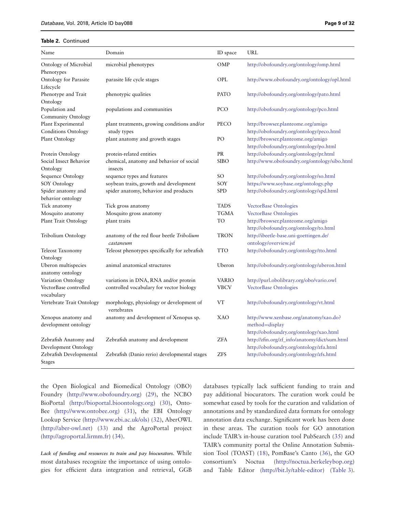#### **Table 2.** Continued

| Name                                             | Domain                                                                | ID space          | <b>URL</b>                                                                                                |
|--------------------------------------------------|-----------------------------------------------------------------------|-------------------|-----------------------------------------------------------------------------------------------------------|
| Ontology of Microbial<br>Phenotypes              | microbial phenotypes                                                  | <b>OMP</b>        | http://obofoundry.org/ontology/omp.html                                                                   |
| Ontology for Parasite<br>Lifecycle               | parasite life cycle stages                                            | OPL               | http://www.obofoundry.org/ontology/opl.html                                                               |
| Phenotype and Trait<br>Ontology                  | phenotypic qualities                                                  | PATO              | http://obofoundry.org/ontology/pato.html                                                                  |
| Population and<br>Community Ontology             | populations and communities                                           | <b>PCO</b>        | http://obofoundry.org/ontology/pco.html                                                                   |
| Plant Experimental<br><b>Conditions Ontology</b> | plant treatments, growing conditions and/or<br>study types            | <b>PECO</b>       | http://browser.planteome.org/amigo<br>http://obofoundry.org/ontology/peco.html                            |
| Plant Ontology                                   | plant anatomy and growth stages                                       | PO                | http://browser.planteome.org/amigo<br>http://obofoundry.org/ontology/po.html                              |
| Protein Ontology                                 | protein-related entities                                              | PR                | http://obofoundry.org/ontology/pr.html                                                                    |
| Social Insect Behavior<br>Ontology               | chemical, anatomy and behavior of social<br>insects                   | <b>SIBO</b>       | http://www.obofoundry.org/ontology/sibo.html                                                              |
| Sequence Ontology<br>SOY Ontology                | sequence types and features<br>soybean traits, growth and development | SO.<br>SOY        | http://obofoundry.org/ontology/so.html<br>https://www.soybase.org/ontology.php                            |
| Spider anatomy and<br>behavior ontology          | spider anatomy, behavior and products                                 | <b>SPD</b>        | http://obofoundry.org/ontology/spd.html                                                                   |
| Tick anatomy                                     | Tick gross anatomy                                                    | <b>TADS</b>       | VectorBase Ontologies                                                                                     |
| Mosquito anatomy<br>Plant Trait Ontology         | Mosquito gross anatomy<br>plant traits                                | <b>TGMA</b><br>TO | VectorBase Ontologies<br>http://browser.planteome.org/amigo                                               |
| Tribolium Ontology                               | anatomy of the red flour beetle Tribolium<br>castaneum                | <b>TRON</b>       | http://obofoundry.org/ontology/to.html<br>http://ibeetle-base.uni-goettingen.de/<br>ontology/overview.jsf |
| Teleost Taxonomy<br>Ontology                     | Teleost phenotypes specifically for zebrafish                         | <b>TTO</b>        | http://obofoundry.org/ontology/tto.html                                                                   |
| Uberon multispecies<br>anatomy ontology          | animal anatomical structures                                          | Uberon            | http://obofoundry.org/ontology/uberon.html                                                                |
| Variation Ontology                               | variations in DNA, RNA and/or protein                                 | <b>VARIO</b>      | http://purl.obolibrary.org/obo/vario.owl                                                                  |
| VectorBase controlled<br>vocabulary              | controlled vocabulary for vector biology                              | <b>VBCV</b>       | VectorBase Ontologies                                                                                     |
| Vertebrate Trait Ontology                        | morphology, physiology or development of<br>vertebrates               | <b>VT</b>         | http://obofoundry.org/ontology/vt.html                                                                    |
| Xenopus anatomy and<br>development ontology      | anatomy and development of Xenopus sp.                                | XAO               | http://www.xenbase.org/anatomy/xao.do?<br>method=display<br>http://obofoundry.org/ontology/xao.html       |
| Zebrafish Anatomy and<br>Development Ontology    | Zebrafish anatomy and development                                     | <b>ZFA</b>        | http://zfin.org/zf_info/anatomy/dict/sum.html<br>http://obofoundry.org/ontology/zfa.html                  |
| Zebrafish Developmental<br>Stages                | Zebrafish (Danio rerio) developmental stages                          | <b>ZFS</b>        | http://obofoundry.org/ontology/zfs.html                                                                   |

the Open Biological and Biomedical Ontology (OBO) Foundry [\(http://www.obofoundry.org\)](http://www.obofoundry.org) [\(29\)](#page-29-23), the NCBO BioPortal [\(http://bioportal.bioontology.org\)](http://bioportal.bioontology.org) [\(30\)](#page-29-24), Onto-Bee [\(http://www.ontobee.org\)](http://www.ontobee.org) [\(31\)](#page-29-25), the EBI Ontology Lookup Service [\(http://www.ebi.ac.uk/ols\)](http://www.ebi.ac.uk/ols) [\(32\)](#page-29-26), AberOWL [\(http://aber-owl.net\)](http://aber-owl.net) [\(33\)](#page-29-27) and the AgroPortal project [\(http://agroportal.lirmm.fr\)](http://agroportal.lirmm.fr) [\(34\)](#page-29-28).

*Lack of funding and resources to train and pay biocurators.* While most databases recognize the importance of using ontologies for efficient data integration and retrieval, GGB databases typically lack sufficient funding to train and pay additional biocurators. The curation work could be somewhat eased by tools for the curation and validation of annotations and by standardized data formats for ontology annotation data exchange. Significant work has been done in these areas. The curation tools for GO annotation include TAIR's in-house curation tool PubSearch [\(35\)](#page-29-29) and TAIR's community portal the Online Annotation Submission Tool (TOAST) [\(18\)](#page-29-13), PomBase's Canto [\(36\)](#page-29-30), the GO consortium's Noctua [\(http://noctua.berkeleybop.org\)](http://noctua.berkeleybop.org/) and Table Editor [\(http://bit.ly/table-editor\)](http://bit.ly/table-editor) [\(Table 3\)](#page-9-0).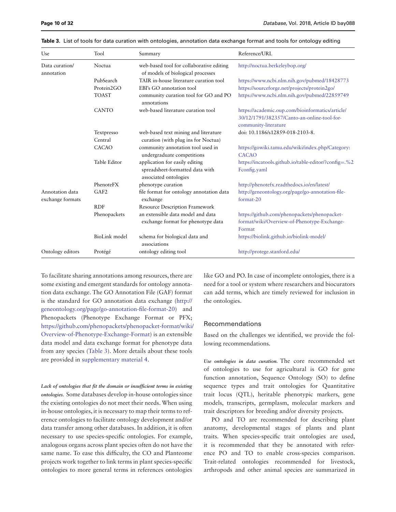| Use                                 | Tool             | Summary                                                                       | Reference/URL                                                                                                           |
|-------------------------------------|------------------|-------------------------------------------------------------------------------|-------------------------------------------------------------------------------------------------------------------------|
| Data curation/<br>annotation        | Noctua           | web-based tool for collaborative editing<br>of models of biological processes | http://noctua.berkeleybop.org/                                                                                          |
|                                     | PubSearch        | TAIR in-house literature curation tool                                        | https://www.ncbi.nlm.nih.gov/pubmed/18428773                                                                            |
|                                     | Protein2GO       | EBI's GO annotation tool                                                      | https://sourceforge.net/projects/protein2go/                                                                            |
|                                     | <b>TOAST</b>     | community curation tool for GO and PO<br>annotations                          | https://www.ncbi.nlm.nih.gov/pubmed/22859749                                                                            |
|                                     | <b>CANTO</b>     | web-based literature curation tool                                            | https://academic.oup.com/bioinformatics/article/<br>30/12/1791/382357/Canto-an-online-tool-for-<br>community-literature |
|                                     | Textpresso       | web-based text mining and literature                                          | doi: 10.1186/s12859-018-2103-8.                                                                                         |
|                                     | Central          | curation (with plug ins for Noctua)                                           |                                                                                                                         |
|                                     | <b>CACAO</b>     | community annotation tool used in<br>undergraduate competitions               | https://gowiki.tamu.edu/wiki/index.php/Category:<br><b>CACAO</b>                                                        |
|                                     | Table Editor     | application for easily editing                                                | https://incatools.github.io/table-editor/?config=.%2                                                                    |
|                                     |                  | spreadsheet-formatted data with<br>associated ontologies                      | Fconfig.yaml                                                                                                            |
|                                     | PhenoteFX        | phenotype curation                                                            | http://phenotefx.readthedocs.io/en/latest/                                                                              |
| Annotation data<br>exchange formats | GAF <sub>2</sub> | file format for ontology annotation data<br>exchange                          | http://geneontology.org/page/go-annotation-file-<br>format-20                                                           |
|                                     | <b>RDF</b>       | Resource Description Framework                                                |                                                                                                                         |
|                                     | Phenopackets     | an extensible data model and data                                             | https://github.com/phenopackets/phenopacket-                                                                            |
|                                     |                  | exchange format for phenotype data                                            | format/wiki/Overview-of-Phenotype-Exchange-<br>Format                                                                   |
|                                     | BioLink model    | schema for biological data and<br>associations                                | https://biolink.github.io/biolink-model/                                                                                |
| Ontology editors                    | Protégé          | ontology editing tool                                                         | http://protege.stanford.edu/                                                                                            |

<span id="page-9-0"></span>

|  |  |  |  | <b>Table 3</b> . List of tools for data curation with ontologies, annotation data exchange format and tools for ontology editing |  |  |  |
|--|--|--|--|----------------------------------------------------------------------------------------------------------------------------------|--|--|--|
|--|--|--|--|----------------------------------------------------------------------------------------------------------------------------------|--|--|--|

To facilitate sharing annotations among resources, there are some existing and emergent standards for ontology annotation data exchange. The GO Annotation File (GAF) format [is the standard for GO annotation data exchange \(http://](http://geneontology.org/page/go-annotation-file-format-20) geneontology.org/page/go-annotation-file-format-20) and Phenopackets (Phenotype Exchange Format or PFX; [https://github.com/phenopackets/phenopacket-format/wiki/](https://github.com/phenopackets/phenopacket-format/wiki/Overview-of-Phenotype-Exchange-Format) Overview-of-Phenotype-Exchange-Format) is an extensible data model and data exchange format for phenotype data from any species [\(Table 3\)](#page-9-0). More details about these tools are provided in [supplementary material 4.](https://docs.google.com/document/d/1Gz_rcajFbSzAIy-5IXFahEFlj_AmmIJlxDcdk1u_FZw/edit)

*Lack of ontologies that fit the domain or insufficient terms in existing ontologies.* Some databases develop in-house ontologies since the existing ontologies do not meet their needs. When using in-house ontologies, it is necessary to map their terms to reference ontologies to facilitate ontology development and/or data transfer among other databases. In addition, it is often necessary to use species-specific ontologies. For example, analogous organs across plant species often do not have the same name. To ease this difficulty, the CO and Planteome projects work together to link terms in plant species-specific ontologies to more general terms in references ontologies like GO and PO. In case of incomplete ontologies, there is a need for a tool or system where researchers and biocurators can add terms, which are timely reviewed for inclusion in the ontologies.

#### Recommendations

Based on the challenges we identified, we provide the following recommendations.

*Use ontologies in data curation.* The core recommended set of ontologies to use for agricultural is GO for gene function annotation, Sequence Ontology (SO) to define sequence types and trait ontologies for Quantitative trait locus (QTL), heritable phenotypic markers, gene models, transcripts, germplasm, molecular markers and trait descriptors for breeding and/or diversity projects.

PO and TO are recommended for describing plant anatomy, developmental stages of plants and plant traits. When species-specific trait ontologies are used, it is recommended that they be annotated with reference PO and TO to enable cross-species comparison. Trait-related ontologies recommended for livestock, arthropods and other animal species are summarized in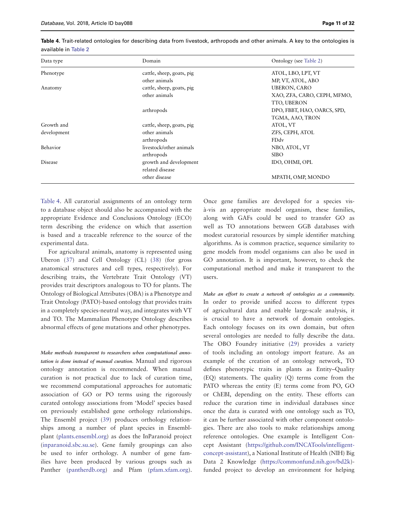| Data type   | Domain                    | Ontology (see Table 2)      |
|-------------|---------------------------|-----------------------------|
| Phenotype   | cattle, sheep, goats, pig | ATOL, LBO, LPT, VT          |
|             | other animals             | MP, VT, ATOL, ABO           |
| Anatomy     | cattle, sheep, goats, pig | <b>UBERON, CARO</b>         |
|             | other animals             | XAO, ZFA, CARO, CEPH, MFMO, |
|             |                           | <b>TTO, UBERON</b>          |
|             | arthropods                | DPO, FBBT, HAO, OARCS, SPD, |
|             |                           | TGMA, AAO, TRON             |
| Growth and  | cattle, sheep, goats, pig | ATOL, VT                    |
| development | other animals             | ZFS, CEPH, ATOL             |
|             | arthropods                | FDdy                        |
| Behavior    | livestock/other animals   | NBO, ATOL, VT               |
|             | arthropods                | <b>SIBO</b>                 |
| Disease     | growth and development    | IDO, OHMI, OPL              |
|             | related disease           |                             |
|             | other disease             | MPATH, OMP, MONDO           |

<span id="page-10-0"></span>**Table 4.** Trait-related ontologies for describing data from livestock, arthropods and other animals. A key to the ontologies is available in [Table 2](#page-6-1)

[Table 4.](#page-10-0) All curatorial assignments of an ontology term to a database object should also be accompanied with the appropriate Evidence and Conclusions Ontology (ECO) term describing the evidence on which that assertion is based and a traceable reference to the source of the experimental data.

For agricultural animals, anatomy is represented using Uberon [\(37\)](#page-29-31) and Cell Ontology (CL) [\(38\)](#page-29-32) (for gross anatomical structures and cell types, respectively). For describing traits, the Vertebrate Trait Ontology (VT) provides trait descriptors analogous to TO for plants. The Ontology of Biological Attributes (OBA) is a Phenotype and Trait Ontology (PATO)-based ontology that provides traits in a completely species-neutral way, and integrates with VT and TO. The Mammalian Phenotype Ontology describes abnormal effects of gene mutations and other phenotypes.

*Make methods transparent to researchers when computational annotation is done instead of manual curation.* Manual and rigorous ontology annotation is recommended. When manual curation is not practical due to lack of curation time, we recommend computational approaches for automatic association of GO or PO terms using the rigorously curated ontology associations from 'Model' species based on previously established gene orthology relationships. The Ensembl project [\(39\)](#page-30-0) produces orthology relationships among a number of plant species in Ensemblplant [\(plants.ensembl.org\)](http://plants.ensembl.org) as does the InParanoid project [\(inparanoid.sbc.su.se\)](inparanoid.sbc.su.se). Gene family groupings can also be used to infer orthology. A number of gene families have been produced by various groups such as Panther [\(pantherdb.org\)](http://pantherdb.org) and Pfam [\(pfam.xfam.org\)](http://pfam.xfam.org). Once gene families are developed for a species visà-vis an appropriate model organism, these families, along with GAFs could be used to transfer GO as well as TO annotations between GGB databases with modest curatorial resources by simple identifier matching algorithms. As is common practice, sequence similarity to gene models from model organisms can also be used in GO annotation. It is important, however, to check the computational method and make it transparent to the users.

*Make an effort to create a network of ontologies as a community.* In order to provide unified access to different types of agricultural data and enable large-scale analysis, it is crucial to have a network of domain ontologies. Each ontology focuses on its own domain, but often several ontologies are needed to fully describe the data. The OBO Foundry initiative [\(29\)](#page-29-23) provides a variety of tools including an ontology import feature. As an example of the creation of an ontology network, TO defines phenotypic traits in plants as Entity–Quality (EQ) statements. The quality (Q) terms come from the PATO whereas the entity (E) terms come from PO, GO or ChEBI, depending on the entity. These efforts can reduce the curation time in individual databases since once the data is curated with one ontology such as TO, it can be further associated with other component ontologies. There are also tools to make relationships among reference ontologies. One example is Intelligent Concept Assistant (https://github.com/INCATools/intelligent[concept-assistant\), a National Institute of Health \(NIH\) Big](https://github.com/INCATools/intelligent-concept-assistant) Data 2 Knowledge [\(https://commonfund.nih.gov/bd2k\)](https://commonfund.nih.gov/bd2k) funded project to develop an environment for helping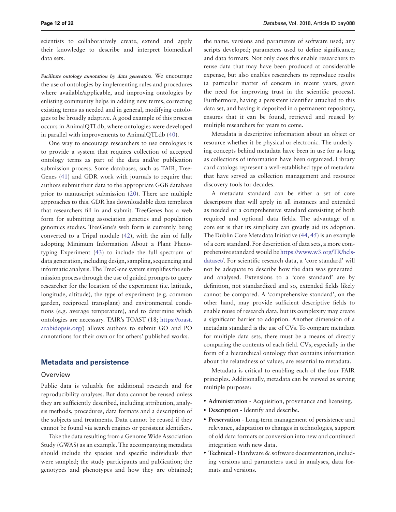scientists to collaboratively create, extend and apply their knowledge to describe and interpret biomedical data sets.

*Facilitate ontology annotation by data generators.* We encourage the use of ontologies by implementing rules and procedures where available/applicable, and improving ontologies by enlisting community helps in adding new terms, correcting existing terms as needed and in general, modifying ontologies to be broadly adaptive. A good example of this process occurs in AnimalQTLdb, where ontologies were developed in parallel with improvements to AnimalQTLdb [\(40\)](#page-30-1).

One way to encourage researchers to use ontologies is to provide a system that requires collection of accepted ontology terms as part of the data and/or publication submission process. Some databases, such as TAIR, Tree-Genes [\(41\)](#page-30-2) and GDR work with journals to require that authors submit their data to the appropriate GGB database prior to manuscript submission [\(20\)](#page-29-15). There are multiple approaches to this. GDR has downloadable data templates that researchers fill in and submit. TreeGenes has a web form for submitting association genetics and population genomics studies. TreeGene's web form is currently being converted to a Tripal module [\(42\)](#page-30-3), with the aim of fully adopting Minimum Information About a Plant Phenotyping Experiment [\(43\)](#page-30-4) to include the full spectrum of data generation, including design, sampling, sequencing and informatic analysis. The TreeGene system simplifies the submission process through the use of guided prompts to query researcher for the location of the experiment (i.e. latitude, longitude, altitude), the type of experiment (e.g. common garden, reciprocal transplant) and environmental conditions (e.g. average temperature), and to determine which ontologies are necessary. TAIR's TOAST (18; https://toast. [arabidopsis.org/\) allows authors to submit GO and PO](https://toast.arabidopsis.org) annotations for their own or for others' published works.

# **Metadata and persistence**

# Overview

Public data is valuable for additional research and for reproducibility analyses. But data cannot be reused unless they are sufficiently described, including attribution, analysis methods, procedures, data formats and a description of the subjects and treatments. Data cannot be reused if they cannot be found via search engines or persistent identifiers.

Take the data resulting from a Genome Wide Association Study (GWAS) as an example. The accompanying metadata should include the species and specific individuals that were sampled; the study participants and publication; the genotypes and phenotypes and how they are obtained; the name, versions and parameters of software used; any scripts developed; parameters used to define significance; and data formats. Not only does this enable researchers to reuse data that may have been produced at considerable expense, but also enables researchers to reproduce results (a particular matter of concern in recent years, given the need for improving trust in the scientific process). Furthermore, having a persistent identifier attached to this data set, and having it deposited in a permanent repository, ensures that it can be found, retrieved and reused by multiple researchers for years to come.

Metadata is descriptive information about an object or resource whether it be physical or electronic. The underlying concepts behind metadata have been in use for as long as collections of information have been organized. Library card catalogs represent a well-established type of metadata that have served as collection management and resource discovery tools for decades.

A metadata standard can be either a set of core descriptors that will apply in all instances and extended as needed or a comprehensive standard consisting of both required and optional data fields. The advantage of a core set is that its simplicity can greatly aid its adoption. The Dublin Core Metadata Initiative [\(44,](#page-30-5) [45\)](#page-30-6) is an example of a core standard. For description of data sets, a more comprehensive standard would be https://www.w3.org/TR/hcls[dataset/. For scientific research data, a 'core standard' will](https://www.w3.org/TR/hcls-dataset/) not be adequate to describe how the data was generated and analysed. Extensions to a 'core standard' are by definition, not standardized and so, extended fields likely cannot be compared. A 'comprehensive standard', on the other hand, may provide sufficient descriptive fields to enable reuse of research data, but its complexity may create a significant barrier to adoption. Another dimension of a metadata standard is the use of CVs. To compare metadata for multiple data sets, there must be a means of directly comparing the contents of each field. CVs, especially in the form of a hierarchical ontology that contains information about the relatedness of values, are essential to metadata.

Metadata is critical to enabling each of the four FAIR principles. Additionally, metadata can be viewed as serving multiple purposes:

- **Administration** Acquisition, provenance and licensing.
- **Description -** Identify and describe.
- **Preservation** Long-term management of persistence and relevance, adaptation to changes in technologies, support of old data formats or conversion into new and continued integration with new data.
- **Technical** Hardware & software documentation, including versions and parameters used in analyses, data formats and versions.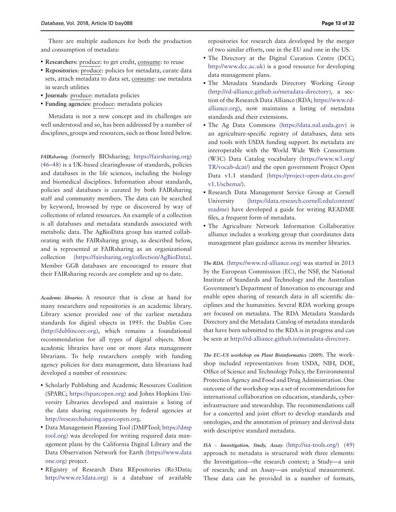There are multiple audiences for both the production and consumption of metadata:

- **Researchers**: produce: to get credit, consume: to reuse
- **Repositories**: produce: policies for metadata, curate data sets, attach metadata to data set, consume: use metadata in search utilities
- **Journals**: produce: metadata policies
- **Funding agencies**: produce: metadata policies

Metadata is not a new concept and its challenges are well understood and so, has been addressed by a number of disciplines, groups and resources, such as those listed below.

*FAIRsharing.* (formerly BIOsharing; [https://fairsharing.org\)](https://fairsharing.org) [\(46–](#page-30-7)[48\)](#page-30-8) is a UK-based clearinghouse of standards, policies and databases in the life sciences, including the biology and biomedical disciplines. Information about standards, policies and databases is curated by both FAIRsharing staff and community members. The data can be searched by keyword, browsed by type or discovered by way of collections of related resources. An example of a collection is all databases and metadata standards associated with metabolic data. The AgBioData group has started collaborating with the FAIRsharing group, as described below, and is represented at FAIRsharing as an organizational collection [\(https://fairsharing.org/collection/AgBioData\)](https://fairsharing.org/collection/AgBioData). Member GGB databases are encouraged to ensure that their FAIRsharing records are complete and up to date.

*Academic libraries.* A resource that is close at hand for many researchers and repositories is an academic library. Library science provided one of the earliest metadata standards for digital objects in 1995: the Dublin Core [\(http://dublincore.org\)](http://dublincore.org), which remains a foundational recommendation for all types of digital objects. Most academic libraries have one or more data management librarians. To help researchers comply with funding agency policies for data management, data librarians had developed a number of resources:

- Scholarly Publishing and Academic Resources Coalition (SPARC; [https://sparcopen.org\)](https://sparcopen.org) and Johns Hopkins University Libraries developed and maintain a listing of the data sharing requirements by federal agencies at [http://researchsharing.sparcopen.org.](http://researchsharing.sparcopen.org)
- Data Management Planning Tool (DMPTool; https://dmp [tool.org\) was developed for writing required data man](https://dmptool.org)agement plans by the California Digital Library and the [Data Observation Network for Earth \(https://www.data](https://www.dataone.org) one.org) project.
- REgistry of Research Data REpositories (Re3Data; [http://www.re3data.org\)](http://www.re3data.org) is a database of available

repositories for research data developed by the merger of two similar efforts, one in the EU and one in the US.

- The Directory at the Digital Curation Centre (DCC; [http://www.dcc.ac.uk\)](http://www.dcc.ac.uk) is a good resource for developing data management plans.
- The Metadata Standards Directory Working Group [\(http://rd-alliance.github.io/metadata-directory\)](http://rd-alliance.github.io/metadata-directory), a section of the Research Data Alliance (RDA; https://www.rd[alliance.org\), now maintains a listing of metadata](https://www.rd-alliance.org) standards and their extensions.
- The Ag Data Commons [\(https://data.nal.usda.gov\)](https://data.nal.usda.gov) is an agriculture-specific registry of databases, data sets and tools with USDA funding support. Its metadata are interoperable with the World Wide Web Consortium [\(W3C\) Data Catalog vocabulary \(https://www.w3.org/](https://www.w3.org/TR/vocab-dcat/) TR/vocab-dcat/) and the open government Project Open [Data v1.1 standard \(https://project-open-data.cio.gov/](https://project-open-data.cio.gov/v1.1/schema/) v1.1/schema/).
- Research Data Management Service Group at Cornell University (https://data.research.cornell.edu/content/ [readme\) have developed a guide for writing README](https://data.research.cornell.edu/content/readme) files, a frequent form of metadata.
- The Agriculture Network Information Collaborative alliance includes a working group that coordinates data management plan guidance across its member libraries.

*The RDA.* [\(https://www.rd-alliance.org\)](https://www.rd-alliance.org) was started in 2013 by the European Commission (EC), the NSF, the National Institute of Standards and Technology and the Australian Government's Department of Innovation to encourage and enable open sharing of research data in all scientific disciplines and the humanities. Several RDA working groups are focused on metadata. The RDA Metadata Standards Directory and the Metadata Catalog of metadata standards that have been submitted to the RDA is in progress and can be seen at [http://rd-alliance.github.io/metadata-directory.](http://rd-alliance.github.io/metadata-directory)

*The EC–US workshop on Plant Bioinformatics (2009).* The workshop included representatives from USDA, NIH, DOE, Office of Science and Technology Policy, the Environmental Protection Agency and Food and Drug Administration. One outcome of the workshop was a set of recommendations for international collaboration on education, standards, cyberinfrastructure and stewardship. The recommendations call for a concerted and joint effort to develop standards and ontologies, and the annotation of primary and derived data with descriptive standard metadata.

*ISA - Investigation, Study, Assay.* [\(http://isa-tools.org/\)](http://isa-tools.org/) [\(49\)](#page-30-9) approach to metadata is structured with three elements: the Investigation—the research context; a Study—a unit of research; and an Assay—an analytical measurement. These data can be provided in a number of formats,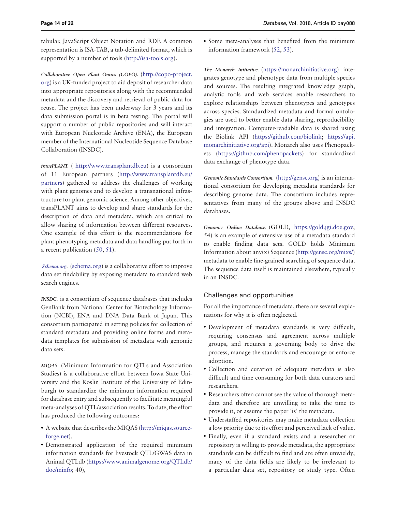tabular, JavaScript Object Notation and RDF. A common representation is ISA-TAB, a tab-delimited format, which is supported by a number of tools [\(http://isa-tools.org\)](http://isa-tools.org).

*Collaborative Open Plant Omics (COPO).* (http://copo-project. [org\) is a UK-funded project to aid deposit of researcher data](http://copo-project.org/) into appropriate repositories along with the recommended metadata and the discovery and retrieval of public data for reuse. The project has been underway for 3 years and its data submission portal is in beta testing. The portal will support a number of public repositories and will interact with European Nucleotide Archive (ENA), the European member of the International Nucleotide Sequence Database Collaboration (INSDC).

*transPLANT.* ( [http://www.transplantdb.eu\)](http://www.transplantdb.eu) is a consortium [of 11 European partners \(http://www.transplantdb.eu/](http://www.transplantdb.eu/partners) partners) gathered to address the challenges of working with plant genomes and to develop a transnational infrastructure for plant genomic science. Among other objectives, transPLANT aims to develop and share standards for the description of data and metadata, which are critical to allow sharing of information between different resources. One example of this effort is the recommendations for plant phenotyping metadata and data handling put forth in a recent publication [\(50,](#page-30-10) [51\)](#page-30-11).

*[Schema.org.](http://Schema.org)* [\(schema.org\)](http://schema.org) is a collaborative effort to improve data set findability by exposing metadata to standard web search engines.

*INSDC.* is a consortium of sequence databases that includes GenBank from National Center for Biotechology Information (NCBI), ENA and DNA Data Bank of Japan. This consortium participated in setting policies for collection of standard metadata and providing online forms and metadata templates for submission of metadata with genomic data sets.

*MIQAS.* (Minimum Information for QTLs and Association Studies) is a collaborative effort between Iowa State University and the Roslin Institute of the University of Edinburgh to standardize the minimum information required for database entry and subsequently to facilitate meaningful meta-analyses of QTL/association results. To date, the effort has produced the following outcomes:

- [A website that describes the MIQAS \(http://miqas.source](http://miqas.sourceforge.net)forge.net),
- Demonstrated application of the required minimum information standards for livestock QTL/GWAS data in [Animal QTLdb \(https://www.animalgenome.org/QTLdb/](https://www.animalgenome.org/QTLdb/doc/minfo) doc/minfo; 40),

• Some meta-analyses that benefited from the minimum information framework [\(52,](#page-30-12) [53\)](#page-30-13).

*The Monarch Initiative.* [\(https://monarchinitiative.org\)](https://monarchinitiative.org/) integrates genotype and phenotype data from multiple species and sources. The resulting integrated knowledge graph, analytic tools and web services enable researchers to explore relationships between phenotypes and genotypes across species. Standardized metadata and formal ontologies are used to better enable data sharing, reproducibility and integration. Computer-readable data is shared using the Biolink API [\(https://github.com/biolink;](https://github.com/biolink/) https://api. [monarchinitiative.org/api\). Monarch also uses Phenopack](https://api.monarchinitiative.org/api)ets [\(https://github.com/phenopackets\)](https://github.com/phenopackets) for standardized data exchange of phenotype data.

*Genomic Standards Consortium.* [\(http://gensc.org\)](http://gensc.org) is an international consortium for developing metadata standards for describing genome data. The consortium includes representatives from many of the groups above and INSDC databases.

*Genomes Online Database.* (GOLD, [https://gold.jgi.doe.gov;](https://gold.jgi.doe.gov) 54) is an example of extensive use of a metadata standard to enable finding data sets. GOLD holds Minimum Information about any(x) Sequence [\(http://gensc.org/mixs/\)](http://gensc.org/mixs) metadata to enable fine-grained searching of sequence data. The sequence data itself is maintained elsewhere, typically in an INSDC.

# Challenges and opportunities

For all the importance of metadata, there are several explanations for why it is often neglected.

- Development of metadata standards is very difficult, requiring consensus and agreement across multiple groups, and requires a governing body to drive the process, manage the standards and encourage or enforce adoption.
- Collection and curation of adequate metadata is also difficult and time consuming for both data curators and researchers.
- Researchers often cannot see the value of thorough metadata and therefore are unwilling to take the time to provide it, or assume the paper 'is' the metadata.
- Understaffed repositories may make metadata collection a low priority due to its effort and perceived lack of value.
- Finally, even if a standard exists and a researcher or repository is willing to provide metadata, the appropriate standards can be difficult to find and are often unwieldy; many of the data fields are likely to be irrelevant to a particular data set, repository or study type. Often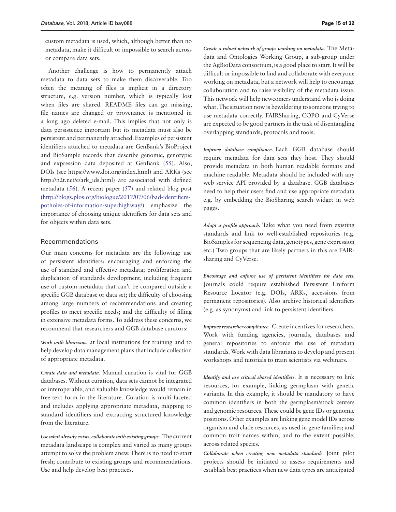custom metadata is used, which, although better than no metadata, make it difficult or impossible to search across or compare data sets.

Another challenge is how to permanently attach metadata to data sets to make them discoverable. Too often the meaning of files is implicit in a directory structure, e.g. version number, which is typically lost when files are shared. README files can go missing, file names are changed or provenance is mentioned in a long ago deleted e-mail. This implies that not only is data persistence important but its metadata must also be persistent and permanently attached. Examples of persistent identifiers attached to metadata are GenBank's BioProject and BioSample records that describe genomic, genotypic and expression data deposited at GenBank [\(55\)](#page-30-14). Also, DOIs (see https://www.doi.org/index.html) and ARKs (see http://n2t.net/e/ark\_ids.html) are associated with defined metadata [\(56\)](#page-30-15). A recent paper [\(57\)](#page-30-16) and related blog post (http://blogs.plos.org/biologue/2017/07/06/bad-identifiers[potholes-of-information-superhighway/\) emphasize the](http://blogs.plos.org/biologue/2017/07/06/bad-identifiers-potholes-of-information-superhighway) importance of choosing unique identifiers for data sets and for objects within data sets.

# Recommendations

Our main concerns for metadata are the following: use of persistent identifiers; encouraging and enforcing the use of standard and effective metadata; proliferation and duplication of standards development, including frequent use of custom metadata that can't be compared outside a specific GGB database or data set; the difficulty of choosing among large numbers of recommendations and creating profiles to meet specific needs; and the difficulty of filling in extensive metadata forms. To address these concerns, we recommend that researchers and GGB database curators:

*Work with librarians.* at local institutions for training and to help develop data management plans that include collection of appropriate metadata.

*Curate data and metadata.* Manual curation is vital for GGB databases. Without curation, data sets cannot be integrated or interoperable, and valuable knowledge would remain in free-text form in the literature. Curation is multi-faceted and includes applying appropriate metadata, mapping to standard identifiers and extracting structured knowledge from the literature.

*Use what already exists, collaborate with existing groups.* The current metadata landscape is complex and varied as many groups attempt to solve the problem anew. There is no need to start fresh; contribute to existing groups and recommendations. Use and help develop best practices.

*Create a robust network of groups working on metadata.* The Metadata and Ontologies Working Group, a sub-group under the AgBioData consortium, is a good place to start. It will be difficult or impossible to find and collaborate with everyone working on metadata, but a network will help to encourage collaboration and to raise visibility of the metadata issue. This network will help newcomers understand who is doing what. The situation now is bewildering to someone trying to use metadata correctly. FAIRSharing, COPO and CyVerse are expected to be good partners in the task of disentangling overlapping standards, protocols and tools.

*Improve database compliance.* Each GGB database should require metadata for data sets they host. They should provide metadata in both human readable formats and machine readable. Metadata should be included with any web service API provided by a database. GGB databases need to help their users find and use appropriate metadata e.g. by embedding the BioSharing search widget in web pages.

*Adopt a profile approach.* Take what you need from existing standards and link to well-established repositories (e.g. BioSamples for sequencing data, genotypes, gene expression etc.) Two groups that are likely partners in this are FAIRsharing and CyVerse.

*Encourage and enforce use of persistent identifiers for data sets.* Journals could require established Persistent Uniform Resource Locator (e.g. DOIs, ARKs, accessions from permanent repositories). Also archive historical identifiers (e.g. as synonyms) and link to persistent identifiers.

*Improve researcher compliance.* Create incentives for researchers. Work with funding agencies, journals, databases and general repositories to enforce the use of metadata standards.Work with data librarians to develop and present workshops and tutorials to train scientists via webinars.

*Identify and use critical shared identifiers.* It is necessary to link resources, for example, linking germplasm with genetic variants. In this example, it should be mandatory to have common identifiers in both the germplasm/stock centers and genomic resources. These could be gene IDs or genomic positions. Other examples are linking gene model IDs across organism and clade resources, as used in gene families; and common trait names within, and to the extent possible, across related species.

*Collaborate when creating new metadata standards.* Joint pilot projects should be initiated to assess requirements and establish best practices when new data types are anticipated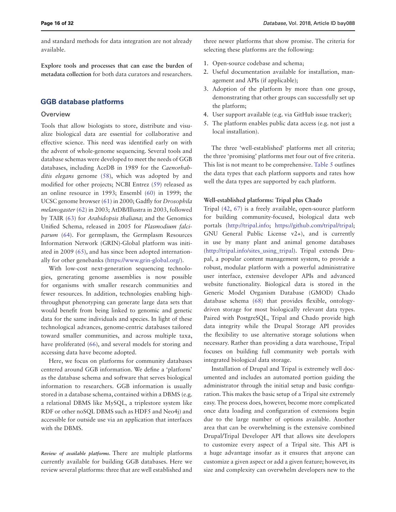and standard methods for data integration are not already available.

**Explore tools and processes that can ease the burden of metadata collection** for both data curators and researchers.

# **GGB database platforms**

# **Overview**

Tools that allow biologists to store, distribute and visualize biological data are essential for collaborative and effective science. This need was identified early on with the advent of whole-genome sequencing. Several tools and database schemas were developed to meet the needs of GGB databases, including AceDB in 1989 for the *Caenorhabditis elegans* genome [\(58\)](#page-30-17), which was adopted by and modified for other projects; NCBI Entrez [\(59\)](#page-30-18) released as an online resource in 1993; Ensembl [\(60\)](#page-30-19) in 1999; the UCSC genome browser [\(61\)](#page-30-20) in 2000; Gadfly for *Drosophila melanogaster* [\(62\)](#page-30-21) in 2003; AtDB/Illustra in 2003, followed by TAIR [\(63\)](#page-30-22) for *Arabidopsis thaliana*; and the Genomics Unified Schema, released in 2005 for *Plasmodium falciparum* [\(64\)](#page-30-23). For germplasm, the Germplasm Resources Information Network (GRIN)-Global platform was initiated in 2009 [\(65\)](#page-30-24), and has since been adopted internationally for other genebanks [\(https://www.grin-global.org/\)](https://www.grin-global.org/).

With low-cost next-generation sequencing technologies, generating genome assemblies is now possible for organisms with smaller research communities and fewer resources. In addition, technologies enabling highthroughput phenotyping can generate large data sets that would benefit from being linked to genomic and genetic data for the same individuals and species. In light of these technological advances, genome-centric databases tailored toward smaller communities, and across multiple taxa, have proliferated [\(66\)](#page-30-25), and several models for storing and accessing data have become adopted.

Here, we focus on platforms for community databases centered around GGB information. We define a 'platform' as the database schema and software that serves biological information to researchers. GGB information is usually stored in a database schema, contained within a DBMS (e.g. a relational DBMS like MySQL, a triplestore system like RDF or other noSQL DBMS such as HDF5 and Neo4j) and accessible for outside use via an application that interfaces with the DBMS.

*Review of available platforms.* There are multiple platforms currently available for building GGB databases. Here we review several platforms: three that are well established and

three newer platforms that show promise. The criteria for selecting these platforms are the following:

- 1. Open-source codebase and schema;
- 2. Useful documentation available for installation, management and APIs (if applicable);
- 3. Adoption of the platform by more than one group, demonstrating that other groups can successfully set up the platform;
- 4. User support available (e.g. via GitHub issue tracker);
- 5. The platform enables public data access (e.g. not just a local installation).

The three 'well-established' platforms met all criteria; the three 'promising' platforms met four out of five criteria. This list is not meant to be comprehensive. [Table 5](#page-16-0) outlines the data types that each platform supports and rates how well the data types are supported by each platform.

#### **Well-established platforms: Tripal plus Chado**

Tripal [\(42,](#page-30-3) [67\)](#page-30-26) is a freely available, open-source platform for building community-focused, biological data web portals [\(http://tripal.info;](http://tripal.info) [https://github.com/tripal/tripal;](https://github.com/tripal/tripal) GNU General Public License v2+), and is currently in use by many plant and animal genome databases [\(http://tripal.info/sites\\_using\\_tripal\)](http://tripal.info/sites_using_tripal). Tripal extends Drupal, a popular content management system, to provide a robust, modular platform with a powerful administrative user interface, extensive developer APIs and advanced website functionality. Biological data is stored in the Generic Model Organism Database (GMOD) Chado database schema [\(68\)](#page-30-27) that provides flexible, ontologydriven storage for most biologically relevant data types. Paired with PostgreSQL, Tripal and Chado provide high data integrity while the Drupal Storage API provides the flexibility to use alternative storage solutions when necessary. Rather than providing a data warehouse, Tripal focuses on building full community web portals with integrated biological data storage.

Installation of Drupal and Tripal is extremely well documented and includes an automated portion guiding the administrator through the initial setup and basic configuration. This makes the basic setup of a Tripal site extremely easy. The process does, however, become more complicated once data loading and configuration of extensions begin due to the large number of options available. Another area that can be overwhelming is the extensive combined Drupal/Tripal Developer API that allows site developers to customize every aspect of a Tripal site. This API is a huge advantage insofar as it ensures that anyone can customize a given aspect or add a given feature; however, its size and complexity can overwhelm developers new to the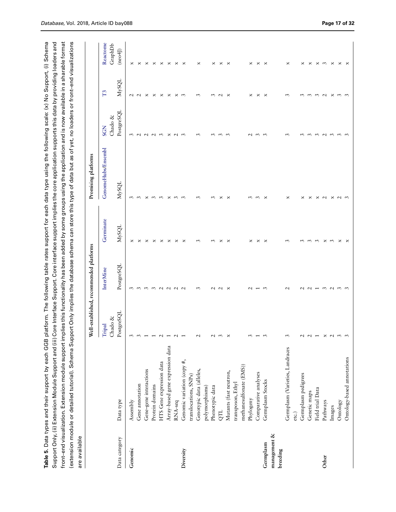<span id="page-16-0"></span>

| $\mathbb{E}$<br>×<br>×<br>$\sim$ $\sim$<br>×<br>$\times$<br>×<br>$\boldsymbol{\times}$<br>×<br>$\times$<br>$\sim$<br>$\sim$<br>$\sim$<br>$\sim$<br>×<br>$\sim$<br>$\omega$ $\omega$ $\omega$<br>$\times$<br>$\sim$<br>S<br>$\sim$<br>PostgreSQL<br>Chado &<br>SGN<br>うこここう<br>$\times$ $\sim$ $\sim$<br>3<br>$\omega$ $\omega$<br>$\sim$<br>- സ<br>$\omega$ $\omega$ $\omega$<br>$\epsilon$<br>$\omega$ $\omega$<br>GenomeHubs/Ensembl<br>MySQL<br>×<br>×<br>$\omega$ $\omega$<br>$\epsilon$<br>$\omega$<br>×<br>3<br>×<br>×<br>×<br>×<br>×<br>x <sub>y</sub><br>$\times$<br>$\sim$ $\sim$<br>ო ო<br>$\sim$<br>$\sim$<br>$\sim$<br>Germinate<br>MySQL<br>×<br>×<br>×<br>×<br>×<br>×<br>×<br>×<br>×<br>×<br>×<br>$\sim$<br>$\sim$<br>×<br>×<br>×<br>$\sim$<br>$\sim$<br>S<br>$\sim$<br>PostgreSQL<br><b>InterMine</b><br>$\sim$<br>$\epsilon$<br>$\mathbf{\sim}$<br>3<br>×<br>ო ო<br>$\sim$ $\sim$<br>$\sim$<br>$\sim$<br>$\sim$<br>S<br>$\sim$<br>$\sim$<br><b>SQL</b><br>$\approx$<br>Chado<br>Postgre<br>Tripal<br>×<br>×<br>$\sim$ $\sim$<br>$\sim$<br>$\epsilon$<br>3<br>$\epsilon$<br>$\sim$<br>$\mathbf{\sim}$<br>$\mathcal{L}$<br>$\mathcal{L}$<br>$\omega$<br>$\tilde{\phantom{0}}$<br>$\tilde{\phantom{a}}$<br>$\tilde{\phantom{0}}$<br>$\sim$<br>ന<br>Array-based gene expression data<br>Germplasm (Varieties, Landraces<br>Ontology-based annotations<br>#,<br>HTS Gene expression data<br>methanesulfonate (EMS))<br>Genomic variation (copy<br>Gene-gene interactions<br>Genotypic data (alleles,<br>Mutants (fast neutron,<br>Comparative analyses<br>Germplasm pedigrees<br>translocations, SNPs)<br>Germplasm Stocks<br>transposon, Ethyl<br>Gene annotation<br>Protein domains<br>Phenotypic data<br>polymorphisms)<br>Field trial Data<br>Genetic maps<br>Phylogeny<br>Data type<br>Pathways<br>Assembly<br>RNA-seq<br>Ontology<br>Images<br>CLI<br>etc.)<br>management &<br>Data category<br>Germplasm<br>Genomic<br>Diversity<br>breeding<br>Other |  | Well-established, recommended platforms | Promising platforms |              |                     |
|-------------------------------------------------------------------------------------------------------------------------------------------------------------------------------------------------------------------------------------------------------------------------------------------------------------------------------------------------------------------------------------------------------------------------------------------------------------------------------------------------------------------------------------------------------------------------------------------------------------------------------------------------------------------------------------------------------------------------------------------------------------------------------------------------------------------------------------------------------------------------------------------------------------------------------------------------------------------------------------------------------------------------------------------------------------------------------------------------------------------------------------------------------------------------------------------------------------------------------------------------------------------------------------------------------------------------------------------------------------------------------------------------------------------------------------------------------------------------------------------------------------------------------------------------------------------------------------------------------------------------------------------------------------------------------------------------------------------------------------------------------------------------------------------------------------------------------------------------------------------------------------------------------------------------------------------------------------------------|--|-----------------------------------------|---------------------|--------------|---------------------|
|                                                                                                                                                                                                                                                                                                                                                                                                                                                                                                                                                                                                                                                                                                                                                                                                                                                                                                                                                                                                                                                                                                                                                                                                                                                                                                                                                                                                                                                                                                                                                                                                                                                                                                                                                                                                                                                                                                                                                                         |  |                                         |                     |              | Reactome<br>GraphDb |
|                                                                                                                                                                                                                                                                                                                                                                                                                                                                                                                                                                                                                                                                                                                                                                                                                                                                                                                                                                                                                                                                                                                                                                                                                                                                                                                                                                                                                                                                                                                                                                                                                                                                                                                                                                                                                                                                                                                                                                         |  |                                         |                     | <b>MySQL</b> | (neO4)              |
|                                                                                                                                                                                                                                                                                                                                                                                                                                                                                                                                                                                                                                                                                                                                                                                                                                                                                                                                                                                                                                                                                                                                                                                                                                                                                                                                                                                                                                                                                                                                                                                                                                                                                                                                                                                                                                                                                                                                                                         |  |                                         |                     |              | ×                   |
|                                                                                                                                                                                                                                                                                                                                                                                                                                                                                                                                                                                                                                                                                                                                                                                                                                                                                                                                                                                                                                                                                                                                                                                                                                                                                                                                                                                                                                                                                                                                                                                                                                                                                                                                                                                                                                                                                                                                                                         |  |                                         |                     |              | ×                   |
|                                                                                                                                                                                                                                                                                                                                                                                                                                                                                                                                                                                                                                                                                                                                                                                                                                                                                                                                                                                                                                                                                                                                                                                                                                                                                                                                                                                                                                                                                                                                                                                                                                                                                                                                                                                                                                                                                                                                                                         |  |                                         |                     |              | ×                   |
|                                                                                                                                                                                                                                                                                                                                                                                                                                                                                                                                                                                                                                                                                                                                                                                                                                                                                                                                                                                                                                                                                                                                                                                                                                                                                                                                                                                                                                                                                                                                                                                                                                                                                                                                                                                                                                                                                                                                                                         |  |                                         |                     |              | ×                   |
|                                                                                                                                                                                                                                                                                                                                                                                                                                                                                                                                                                                                                                                                                                                                                                                                                                                                                                                                                                                                                                                                                                                                                                                                                                                                                                                                                                                                                                                                                                                                                                                                                                                                                                                                                                                                                                                                                                                                                                         |  |                                         |                     |              | ×                   |
|                                                                                                                                                                                                                                                                                                                                                                                                                                                                                                                                                                                                                                                                                                                                                                                                                                                                                                                                                                                                                                                                                                                                                                                                                                                                                                                                                                                                                                                                                                                                                                                                                                                                                                                                                                                                                                                                                                                                                                         |  |                                         |                     |              | ×                   |
|                                                                                                                                                                                                                                                                                                                                                                                                                                                                                                                                                                                                                                                                                                                                                                                                                                                                                                                                                                                                                                                                                                                                                                                                                                                                                                                                                                                                                                                                                                                                                                                                                                                                                                                                                                                                                                                                                                                                                                         |  |                                         |                     |              | ×                   |
|                                                                                                                                                                                                                                                                                                                                                                                                                                                                                                                                                                                                                                                                                                                                                                                                                                                                                                                                                                                                                                                                                                                                                                                                                                                                                                                                                                                                                                                                                                                                                                                                                                                                                                                                                                                                                                                                                                                                                                         |  |                                         |                     |              | $\times$            |
|                                                                                                                                                                                                                                                                                                                                                                                                                                                                                                                                                                                                                                                                                                                                                                                                                                                                                                                                                                                                                                                                                                                                                                                                                                                                                                                                                                                                                                                                                                                                                                                                                                                                                                                                                                                                                                                                                                                                                                         |  |                                         |                     |              |                     |
|                                                                                                                                                                                                                                                                                                                                                                                                                                                                                                                                                                                                                                                                                                                                                                                                                                                                                                                                                                                                                                                                                                                                                                                                                                                                                                                                                                                                                                                                                                                                                                                                                                                                                                                                                                                                                                                                                                                                                                         |  |                                         |                     |              | ×                   |
|                                                                                                                                                                                                                                                                                                                                                                                                                                                                                                                                                                                                                                                                                                                                                                                                                                                                                                                                                                                                                                                                                                                                                                                                                                                                                                                                                                                                                                                                                                                                                                                                                                                                                                                                                                                                                                                                                                                                                                         |  |                                         |                     |              |                     |
|                                                                                                                                                                                                                                                                                                                                                                                                                                                                                                                                                                                                                                                                                                                                                                                                                                                                                                                                                                                                                                                                                                                                                                                                                                                                                                                                                                                                                                                                                                                                                                                                                                                                                                                                                                                                                                                                                                                                                                         |  |                                         |                     |              | ×                   |
|                                                                                                                                                                                                                                                                                                                                                                                                                                                                                                                                                                                                                                                                                                                                                                                                                                                                                                                                                                                                                                                                                                                                                                                                                                                                                                                                                                                                                                                                                                                                                                                                                                                                                                                                                                                                                                                                                                                                                                         |  |                                         |                     |              | ×                   |
|                                                                                                                                                                                                                                                                                                                                                                                                                                                                                                                                                                                                                                                                                                                                                                                                                                                                                                                                                                                                                                                                                                                                                                                                                                                                                                                                                                                                                                                                                                                                                                                                                                                                                                                                                                                                                                                                                                                                                                         |  |                                         |                     |              | ×                   |
|                                                                                                                                                                                                                                                                                                                                                                                                                                                                                                                                                                                                                                                                                                                                                                                                                                                                                                                                                                                                                                                                                                                                                                                                                                                                                                                                                                                                                                                                                                                                                                                                                                                                                                                                                                                                                                                                                                                                                                         |  |                                         |                     |              |                     |
|                                                                                                                                                                                                                                                                                                                                                                                                                                                                                                                                                                                                                                                                                                                                                                                                                                                                                                                                                                                                                                                                                                                                                                                                                                                                                                                                                                                                                                                                                                                                                                                                                                                                                                                                                                                                                                                                                                                                                                         |  |                                         |                     |              |                     |
|                                                                                                                                                                                                                                                                                                                                                                                                                                                                                                                                                                                                                                                                                                                                                                                                                                                                                                                                                                                                                                                                                                                                                                                                                                                                                                                                                                                                                                                                                                                                                                                                                                                                                                                                                                                                                                                                                                                                                                         |  |                                         |                     |              | ×                   |
|                                                                                                                                                                                                                                                                                                                                                                                                                                                                                                                                                                                                                                                                                                                                                                                                                                                                                                                                                                                                                                                                                                                                                                                                                                                                                                                                                                                                                                                                                                                                                                                                                                                                                                                                                                                                                                                                                                                                                                         |  |                                         |                     |              | ×                   |
|                                                                                                                                                                                                                                                                                                                                                                                                                                                                                                                                                                                                                                                                                                                                                                                                                                                                                                                                                                                                                                                                                                                                                                                                                                                                                                                                                                                                                                                                                                                                                                                                                                                                                                                                                                                                                                                                                                                                                                         |  |                                         |                     |              | ×                   |
|                                                                                                                                                                                                                                                                                                                                                                                                                                                                                                                                                                                                                                                                                                                                                                                                                                                                                                                                                                                                                                                                                                                                                                                                                                                                                                                                                                                                                                                                                                                                                                                                                                                                                                                                                                                                                                                                                                                                                                         |  |                                         |                     |              |                     |
|                                                                                                                                                                                                                                                                                                                                                                                                                                                                                                                                                                                                                                                                                                                                                                                                                                                                                                                                                                                                                                                                                                                                                                                                                                                                                                                                                                                                                                                                                                                                                                                                                                                                                                                                                                                                                                                                                                                                                                         |  |                                         |                     |              | ×                   |
|                                                                                                                                                                                                                                                                                                                                                                                                                                                                                                                                                                                                                                                                                                                                                                                                                                                                                                                                                                                                                                                                                                                                                                                                                                                                                                                                                                                                                                                                                                                                                                                                                                                                                                                                                                                                                                                                                                                                                                         |  |                                         |                     |              |                     |
|                                                                                                                                                                                                                                                                                                                                                                                                                                                                                                                                                                                                                                                                                                                                                                                                                                                                                                                                                                                                                                                                                                                                                                                                                                                                                                                                                                                                                                                                                                                                                                                                                                                                                                                                                                                                                                                                                                                                                                         |  |                                         |                     |              | ×                   |
|                                                                                                                                                                                                                                                                                                                                                                                                                                                                                                                                                                                                                                                                                                                                                                                                                                                                                                                                                                                                                                                                                                                                                                                                                                                                                                                                                                                                                                                                                                                                                                                                                                                                                                                                                                                                                                                                                                                                                                         |  |                                         |                     |              | ×                   |
|                                                                                                                                                                                                                                                                                                                                                                                                                                                                                                                                                                                                                                                                                                                                                                                                                                                                                                                                                                                                                                                                                                                                                                                                                                                                                                                                                                                                                                                                                                                                                                                                                                                                                                                                                                                                                                                                                                                                                                         |  |                                         |                     |              |                     |
|                                                                                                                                                                                                                                                                                                                                                                                                                                                                                                                                                                                                                                                                                                                                                                                                                                                                                                                                                                                                                                                                                                                                                                                                                                                                                                                                                                                                                                                                                                                                                                                                                                                                                                                                                                                                                                                                                                                                                                         |  |                                         |                     |              | $x \omega$          |
|                                                                                                                                                                                                                                                                                                                                                                                                                                                                                                                                                                                                                                                                                                                                                                                                                                                                                                                                                                                                                                                                                                                                                                                                                                                                                                                                                                                                                                                                                                                                                                                                                                                                                                                                                                                                                                                                                                                                                                         |  |                                         |                     |              | $\times$            |
|                                                                                                                                                                                                                                                                                                                                                                                                                                                                                                                                                                                                                                                                                                                                                                                                                                                                                                                                                                                                                                                                                                                                                                                                                                                                                                                                                                                                                                                                                                                                                                                                                                                                                                                                                                                                                                                                                                                                                                         |  |                                         |                     |              | ×                   |
|                                                                                                                                                                                                                                                                                                                                                                                                                                                                                                                                                                                                                                                                                                                                                                                                                                                                                                                                                                                                                                                                                                                                                                                                                                                                                                                                                                                                                                                                                                                                                                                                                                                                                                                                                                                                                                                                                                                                                                         |  |                                         |                     |              | $\times$            |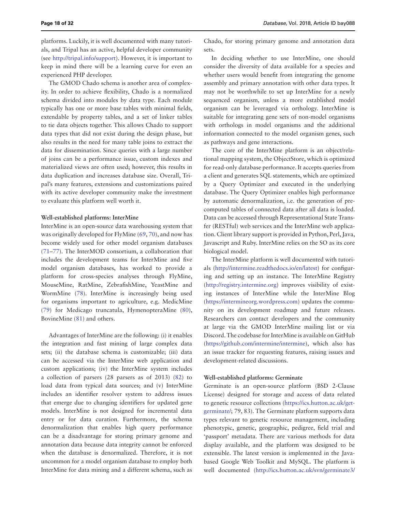platforms. Luckily, it is well documented with many tutorials, and Tripal has an active, helpful developer community (see [http://tripal.info/support\)](http://tripal.info/support). However, it is important to keep in mind there will be a learning curve for even an experienced PHP developer.

The GMOD Chado schema is another area of complexity. In order to achieve flexibility, Chado is a normalized schema divided into modules by data type. Each module typically has one or more base tables with minimal fields, extendable by property tables, and a set of linker tables to tie data objects together. This allows Chado to support data types that did not exist during the design phase, but also results in the need for many table joins to extract the data for dissemination. Since queries with a large number of joins can be a performance issue, custom indexes and materialized views are often used; however, this results in data duplication and increases database size. Overall, Tripal's many features, extensions and customizations paired with its active developer community make the investment to evaluate this platform well worth it.

#### **Well-established platforms: InterMine**

InterMine is an open-source data warehousing system that was originally developed for FlyMine [\(69,](#page-30-28) [70\)](#page-30-29), and now has become widely used for other model organism databases [\(71–](#page-30-30)[77\)](#page-31-0). The InterMOD consortium, a collaboration that includes the development teams for InterMine and five model organism databases, has worked to provide a platform for cross-species analyses through FlyMine, MouseMine, RatMine, ZebrafishMine, YeastMine and WormMine [\(78\)](#page-31-1). InterMine is increasingly being used for organisms important to agriculture, e.g. MedicMine [\(79\)](#page-31-2) for Medicago truncatula, HymenopteraMine [\(80\)](#page-31-3), BovineMine [\(81\)](#page-31-4) and others.

Advantages of InterMine are the following: (i) it enables the integration and fast mining of large complex data sets; (ii) the database schema is customizable; (iii) data can be accessed via the InterMine web application and custom applications; (iv) the InterMine system includes a collection of parsers (28 parsers as of 2013) [\(82\)](#page-31-5) to load data from typical data sources; and (v) InterMine includes an identifier resolver system to address issues that emerge due to changing identifiers for updated gene models. InterMine is not designed for incremental data entry or for data curation. Furthermore, the schema denormalization that enables high query performance can be a disadvantage for storing primary genome and annotation data because data integrity cannot be enforced when the database is denormalized. Therefore, it is not uncommon for a model organism database to employ both InterMine for data mining and a different schema, such as

Chado, for storing primary genome and annotation data sets.

In deciding whether to use InterMine, one should consider the diversity of data available for a species and whether users would benefit from integrating the genome assembly and primary annotation with other data types. It may not be worthwhile to set up InterMine for a newly sequenced organism, unless a more established model organism can be leveraged via orthology. InterMine is suitable for integrating gene sets of non-model organisms with orthologs in model organisms and the additional information connected to the model organism genes, such as pathways and gene interactions.

The core of the InterMine platform is an object/relational mapping system, the ObjectStore, which is optimized for read-only database performance. It accepts queries from a client and generates SQL statements, which are optimized by a Query Optimizer and executed in the underlying database. The Query Optimizer enables high performance by automatic denormalization, i.e. the generation of precomputed tables of connected data after all data is loaded. Data can be accessed through Representational State Transfer (RESTful) web services and the InterMine web application. Client library support is provided in Python, Perl, Java, Javascript and Ruby. InterMine relies on the SO as its core biological model.

The InterMine platform is well documented with tutorials [\(http://intermine.readthedocs.io/en/latest\)](http://intermine.readthedocs.io/en/latest) for configuring and setting up an instance. The InterMine Registry [\(http://registry.intermine.org\)](http://registry.intermine.org) improves visibility of existing instances of InterMine while the InterMine Blog [\(https://intermineorg.wordpress.com\)](https://intermineorg.wordpress.com) updates the community on its development roadmap and future releases. Researchers can contact developers and the community at large via the GMOD InterMine mailing list or via Discord. The codebase for InterMine is available on GitHub [\(https://github.com/intermine/intermine\)](https://github.com/intermine/intermine), which also has an issue tracker for requesting features, raising issues and development-related discussions.

## **Well-established platforms: Germinate**

Germinate is an open-source platform (BSD 2-Clause License) designed for storage and access of data related [to genetic resource collections \(https://ics.hutton.ac.uk/get](https://ics.hutton.ac.uk/get-germinate/)germinate/; 79, 83). The Germinate platform supports data types relevant to genetic resource management, including phenotypic, genetic, geographic, pedigree, field trial and 'passport' metadata. There are various methods for data display available, and the platform was designed to be extensible. The latest version is implemented in the Javabased Google Web Toolkit and MySQL. The platform is well documented [\(http://ics.hutton.ac.uk/svn/germinate3/](http://ics.hutton.ac.uk/svn/germinate3/trunk/documentation/germinate-documentation.pdf)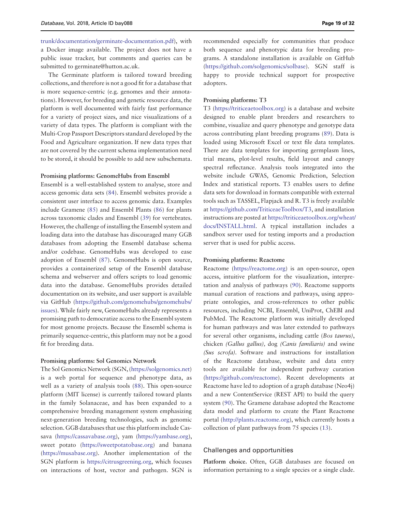[trunk/documentation/germinate-documentation.pdf\)](http://ics.hutton.ac.uk/svn/germinate3/trunk/documentation/germinate-documentation.pdf), with a Docker image available. The project does not have a public issue tracker, but comments and queries can be submitted to germinate@hutton.ac.uk.

The Germinate platform is tailored toward breeding collections, and therefore is not a good fit for a database that is more sequence-centric (e.g. genomes and their annotations). However, for breeding and genetic resource data, the platform is well documented with fairly fast performance for a variety of project sizes, and nice visualizations of a variety of data types. The platform is compliant with the Multi-Crop Passport Descriptors standard developed by the Food and Agriculture organization. If new data types that are not covered by the current schema implementation need to be stored, it should be possible to add new subschemata.

## **Promising platforms: GenomeHubs from Ensembl**

Ensembl is a well-established system to analyse, store and access genomic data sets [\(84\)](#page-31-6). Ensembl websites provide a consistent user interface to access genomic data. Examples include Gramene [\(85\)](#page-31-7) and Ensembl Plants [\(86\)](#page-31-8) for plants across taxonomic clades and Ensembl [\(39\)](#page-30-0) for vertebrates. However, the challenge of installing the Ensembl system and loading data into the database has discouraged many GGB databases from adopting the Ensembl database schema and/or codebase. GenomeHubs was developed to ease adoption of Ensembl [\(87\)](#page-31-9). GenomeHubs is open source, provides a containerized setup of the Ensembl database schema and webserver and offers scripts to load genomic data into the database. GenomeHubs provides detailed documentation on its website, and user support is available [via GitHub \(https://github.com/genomehubs/genomehubs/](https://github.com/genomehubs/genomehubs/issues) issues). While fairly new, GenomeHubs already represents a promising path to democratize access to the Ensembl system for most genome projects. Because the Ensembl schema is primarily sequence-centric, this platform may not be a good fit for breeding data.

#### **Promising platforms: Sol Genomics Network**

The Sol Genomics Network (SGN, [\(https://solgenomics.net\)](https://solgenomics.net) is a web portal for sequence and phenotype data, as well as a variety of analysis tools [\(88\)](#page-31-10). This open-source platform (MIT license) is currently tailored toward plants in the family Solanaceae, and has been expanded to a comprehensive breeding management system emphasizing next-generation breeding technologies, such as genomic selection. GGB databases that use this platform include Cassava [\(https://cassavabase.org\)](https://cassavabase.org), yam [\(https://yambase.org\)](https://yambase.org), sweet potato [\(https://sweetpotatobase.org\)](https://sweetpotatobase.org) and banana [\(https://musabase.org\)](https://musabase.org). Another implementation of the SGN platform is [https://citrusgreening.org,](https://citrusgreening.org) which focuses on interactions of host, vector and pathogen. SGN is

recommended especially for communities that produce both sequence and phenotypic data for breeding programs. A standalone installation is available on GitHub [\(https://github.com/solgenomics/solbase\)](https://github.com/solgenomics/solbase). SGN staff is happy to provide technical support for prospective adopters.

## **Promising platforms: T3**

T3 [\(https://triticeaetoolbox.org\)](https://triticeaetoolbox.org) is a database and website designed to enable plant breeders and researchers to combine, visualize and query phenotype and genotype data across contributing plant breeding programs [\(89\)](#page-31-11). Data is loaded using Microsoft Excel or text file data templates. There are data templates for importing germplasm lines, trial means, plot-level results, field layout and canopy spectral reflectance. Analysis tools integrated into the website include GWAS, Genomic Prediction, Selection Index and statistical reports. T3 enables users to define data sets for download in formats compatible with external tools such as TASSEL, Flapjack and R. T3 is freely available at [https://github.com/TriticeaeToolbox/T3,](https://github.com/TriticeaeToolbox/T3) and installation instructions are posted at https://triticeaetoolbox.org/wheat/ [docs/INSTALL.html. A typical installation includes a](https://triticeaetoolbox.org/wheat/docs/INSTALL.html) sandbox server used for testing imports and a production server that is used for public access.

#### **Promising platforms: Reactome**

Reactome [\(https://reactome.org\)](https://reactome.org) is an open-source, open access, intuitive platform for the visualization, interpretation and analysis of pathways [\(90\)](#page-31-12). Reactome supports manual curation of reactions and pathways, using appropriate ontologies, and cross-references to other public resources, including NCBI, Ensembl, UniProt, ChEBI and PubMed. The Reactome platform was initially developed for human pathways and was later extended to pathways for several other organisms, including cattle (*Bos taurus)*, chicken *(Gallus gallus),* dog *(Canis familiaris)* and swine *(Sus scrofa).* Software and instructions for installation of the Reactome database, website and data entry tools are available for independent pathway curation [\(https://github.com/reactome\)](https://github.com/reactome). Recent developments at Reactome have led to adoption of a graph database (Neo4j) and a new ContentService (REST API) to build the query system [\(90\)](#page-31-12). The Gramene database adopted the Reactome data model and platform to create the Plant Reactome portal [\(http://plants.reactome.org\)](http://plants.reactome.org), which currently hosts a collection of plant pathways from 75 species [\(13\)](#page-29-8).

# Challenges and opportunities

**Platform choice.** Often, GGB databases are focused on information pertaining to a single species or a single clade.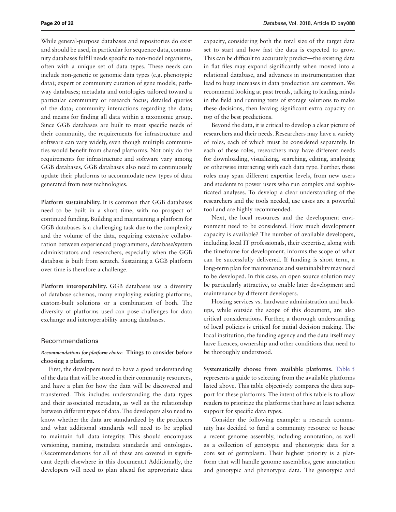While general-purpose databases and repositories do exist and should be used, in particular for sequence data, community databases fulfill needs specific to non-model organisms, often with a unique set of data types. These needs can include non-genetic or genomic data types (e.g. phenotypic data); expert or community curation of gene models; pathway databases; metadata and ontologies tailored toward a particular community or research focus; detailed queries of the data; community interactions regarding the data; and means for finding all data within a taxonomic group. Since GGB databases are built to meet specific needs of their community, the requirements for infrastructure and software can vary widely, even though multiple communities would benefit from shared platforms. Not only do the requirements for infrastructure and software vary among GGB databases, GGB databases also need to continuously update their platforms to accommodate new types of data generated from new technologies.

**Platform sustainability.** It is common that GGB databases need to be built in a short time, with no prospect of continued funding. Building and maintaining a platform for GGB databases is a challenging task due to the complexity and the volume of the data, requiring extensive collaboration between experienced programmers, database/system administrators and researchers, especially when the GGB database is built from scratch. Sustaining a GGB platform over time is therefore a challenge.

**Platform interoperability.** GGB databases use a diversity of database schemas, many employing existing platforms, custom-built solutions or a combination of both. The diversity of platforms used can pose challenges for data exchange and interoperability among databases.

#### Recommendations

# *Recommendations for platform choice.* **Things to consider before choosing a platform.**

First, the developers need to have a good understanding of the data that will be stored in their community resources, and have a plan for how the data will be discovered and transferred. This includes understanding the data types and their associated metadata, as well as the relationship between different types of data. The developers also need to know whether the data are standardized by the producers and what additional standards will need to be applied to maintain full data integrity. This should encompass versioning, naming, metadata standards and ontologies. (Recommendations for all of these are covered in significant depth elsewhere in this document.) Additionally, the developers will need to plan ahead for appropriate data capacity, considering both the total size of the target data set to start and how fast the data is expected to grow. This can be difficult to accurately predict—the existing data in flat files may expand significantly when moved into a relational database, and advances in instrumentation that lead to huge increases in data production are common. We recommend looking at past trends, talking to leading minds in the field and running tests of storage solutions to make these decisions, then leaving significant extra capacity on top of the best predictions.

Beyond the data, it is critical to develop a clear picture of researchers and their needs. Researchers may have a variety of roles, each of which must be considered separately. In each of these roles, researchers may have different needs for downloading, visualizing, searching, editing, analyzing or otherwise interacting with each data type. Further, these roles may span different expertise levels, from new users and students to power users who run complex and sophisticated analyses. To develop a clear understanding of the researchers and the tools needed, use cases are a powerful tool and are highly recommended.

Next, the local resources and the development environment need to be considered. How much development capacity is available? The number of available developers, including local IT professionals, their expertise, along with the timeframe for development, informs the scope of what can be successfully delivered. If funding is short term, a long-term plan for maintenance and sustainability may need to be developed. In this case, an open source solution may be particularly attractive, to enable later development and maintenance by different developers.

Hosting services vs. hardware administration and backups, while outside the scope of this document, are also critical considerations. Further, a thorough understanding of local policies is critical for initial decision making. The local institution, the funding agency and the data itself may have licences, ownership and other conditions that need to be thoroughly understood.

**Systematically choose from available platforms.** [Table 5](#page-16-0) represents a guide to selecting from the available platforms listed above. This table objectively compares the data support for these platforms. The intent of this table is to allow readers to prioritize the platforms that have at least schema support for specific data types.

Consider the following example: a research community has decided to fund a community resource to house a recent genome assembly, including annotation, as well as a collection of genotypic and phenotypic data for a core set of germplasm. Their highest priority is a platform that will handle genome assemblies, gene annotation and genotypic and phenotypic data. The genotypic and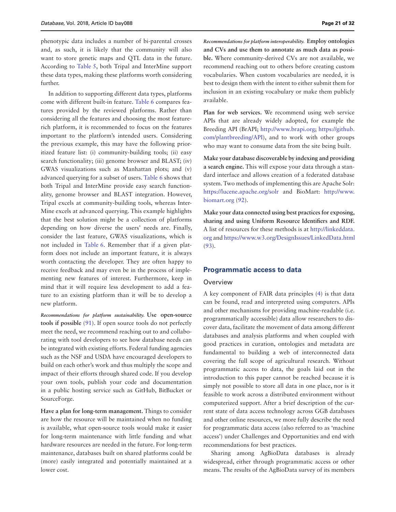phenotypic data includes a number of bi-parental crosses and, as such, it is likely that the community will also want to store genetic maps and QTL data in the future. According to [Table 5,](#page-16-0) both Tripal and InterMine support these data types, making these platforms worth considering further.

In addition to supporting different data types, platforms come with different built-in feature. [Table 6](#page-21-0) compares features provided by the reviewed platforms. Rather than considering all the features and choosing the most featurerich platform, it is recommended to focus on the features important to the platform's intended users. Considering the previous example, this may have the following prioritized feature list: (i) community-building tools; (ii) easy search functionality; (iii) genome browser and BLAST; (iv) GWAS visualizations such as Manhattan plots; and (v) advanced querying for a subset of users. [Table 6](#page-21-0) shows that both Tripal and InterMine provide easy search functionality, genome browser and BLAST integration. However, Tripal excels at community-building tools, whereas Inter-Mine excels at advanced querying. This example highlights that the best solution might be a collection of platforms depending on how diverse the users' needs are. Finally, consider the last feature, GWAS visualizations, which is not included in [Table 6.](#page-21-0) Remember that if a given platform does not include an important feature, it is always worth contacting the developer. They are often happy to receive feedback and may even be in the process of implementing new features of interest. Furthermore, keep in mind that it will require less development to add a feature to an existing platform than it will be to develop a new platform.

*Recommendations for platform sustainability.* **Use open-source tools if possible** [\(91\)](#page-31-13). If open source tools do not perfectly meet the need, we recommend reaching out to and collaborating with tool developers to see how database needs can be integrated with existing efforts. Federal funding agencies such as the NSF and USDA have encouraged developers to build on each other's work and thus multiply the scope and impact of their efforts through shared code. If you develop your own tools, publish your code and documentation in a public hosting service such as GitHub, BitBucket or SourceForge.

**Have a plan for long-term management.** Things to consider are how the resource will be maintained when no funding is available, what open-source tools would make it easier for long-term maintenance with little funding and what hardware resources are needed in the future. For long-term maintenance, databases built on shared platforms could be (more) easily integrated and potentially maintained at a lower cost.

*Recommendations for platform interoperability.* **Employ ontologies and CVs and use them to annotate as much data as possible.** Where community-derived CVs are not available, we recommend reaching out to others before creating custom vocabularies. When custom vocabularies are needed, it is best to design them with the intent to either submit them for inclusion in an existing vocabulary or make them publicly available.

**Plan for web services.** We recommend using web service APIs that are already widely adopted, for example the Breeding API (BrAPI; [http://www.brapi.org;](http://www.brapi.org) https://github. [com/plantbreeding/API\), and to work with other groups](https://github.com/plantbreeding/API) who may want to consume data from the site being built.

**Make your database discoverable by indexing and providing a search engine.** This will expose your data through a standard interface and allows creation of a federated database system. Two methods of implementing this are Apache Solr: <https://lucene.apache.org/solr> and BioMart: http://www. biomart.org [\(92\)](#page-31-14).

**Make your data connected using best practices for exposing, sharing and using Uniform Resource Identifiers and RDF.** A list of resources for these methods is at http://linkeddata. org and [https://www.w3.org/DesignIssues/LinkedData.html](http://linkeddata.org) [\(93\)](#page-31-15).

# **Programmatic access to data**

#### **Overview**

A key component of FAIR data principles [\(4\)](#page-29-1) is that data can be found, read and interpreted using computers. APIs and other mechanisms for providing machine-readable (i.e. programmatically accessible) data allow researchers to discover data, facilitate the movement of data among different databases and analysis platforms and when coupled with good practices in curation, ontologies and metadata are fundamental to building a web of interconnected data covering the full scope of agricultural research. Without programmatic access to data, the goals laid out in the introduction to this paper cannot be reached because it is simply not possible to store all data in one place, nor is it feasible to work across a distributed environment without computerized support. After a brief description of the current state of data access technology across GGB databases and other online resources, we more fully describe the need for programmatic data access (also referred to as 'machine access') under Challenges and Opportunities and end with recommendations for best practices.

Sharing among AgBioData databases is already widespread, either through programmatic access or other means. The results of the AgBioData survey of its members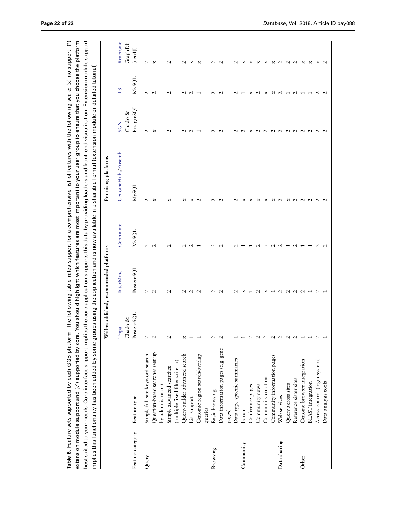<span id="page-21-0"></span>

|                  | extension module support and ( / ) supported by core. You should highlight which features are most important to your user group to ensure that you choose the platform<br>implies this functionality has been added by some groups using the application and is now available<br>best suited to your needs. Core interface support implies<br>Table 6. Feature sets supported by each GGB platform. |                   |                                    |                 | the core application supports this data by providing loaders and front-end visualization. Extension module support<br>The following table rates support for a comprehensive list of features with the following scale: (x) no support, (*)<br>in a sharable format (extension module or detailed tutorial) |                         |                          |                        |
|------------------|-----------------------------------------------------------------------------------------------------------------------------------------------------------------------------------------------------------------------------------------------------------------------------------------------------------------------------------------------------------------------------------------------------|-------------------|------------------------------------|-----------------|------------------------------------------------------------------------------------------------------------------------------------------------------------------------------------------------------------------------------------------------------------------------------------------------------------|-------------------------|--------------------------|------------------------|
|                  |                                                                                                                                                                                                                                                                                                                                                                                                     | Well-             | established, recommended platforms |                 | Promising platforms                                                                                                                                                                                                                                                                                        |                         |                          |                        |
|                  |                                                                                                                                                                                                                                                                                                                                                                                                     | Chado &<br>Tripal | <b>InterMine</b>                   | Germinate       | GenomeHubs/Ensembl                                                                                                                                                                                                                                                                                         | Chado $&$<br><b>SGN</b> | T <sub>3</sub>           | Reactome<br>GraphDb    |
| Feature category | Feature type                                                                                                                                                                                                                                                                                                                                                                                        | PostgreSQL        | PostgreSQL                         | MySQL           | <b>MySQL</b>                                                                                                                                                                                                                                                                                               | PostgreSQL              | MySQL                    | (ne04]                 |
| Query            | Simple full site keyword search                                                                                                                                                                                                                                                                                                                                                                     | $\sim$ $\sim$     | $\sim$                             | $\sim$ $\sim$   | $\mathcal{L}$                                                                                                                                                                                                                                                                                              | $\mathbf{C}$            | $\sim$                   | $\sim$                 |
|                  | Question-based searches (set up<br>by administrator)                                                                                                                                                                                                                                                                                                                                                |                   | $\sim$                             |                 | ×                                                                                                                                                                                                                                                                                                          | ×                       | $\sim$                   | ×                      |
|                  | (multiple fixed filter criteria)<br>Simple advanced searches                                                                                                                                                                                                                                                                                                                                        | $\mathbf{\sim}$   |                                    | $\sim$          | ×                                                                                                                                                                                                                                                                                                          | $\sim$                  | $\sim$                   | $\mathbf{\sim}$        |
|                  | Query-builder advanced search                                                                                                                                                                                                                                                                                                                                                                       | ×                 |                                    |                 | ×                                                                                                                                                                                                                                                                                                          |                         | $\sim$                   | $\mathbf{\mathcal{L}}$ |
|                  | List support                                                                                                                                                                                                                                                                                                                                                                                        |                   | $\sim$                             |                 | ×                                                                                                                                                                                                                                                                                                          |                         | $\sim$                   | ×                      |
|                  | Genomic region search/overlap                                                                                                                                                                                                                                                                                                                                                                       |                   | $\sim$                             |                 | $\sim$                                                                                                                                                                                                                                                                                                     |                         |                          | ×                      |
| Browsing         | Basic browsing<br>queries                                                                                                                                                                                                                                                                                                                                                                           | N                 |                                    |                 |                                                                                                                                                                                                                                                                                                            |                         |                          | $\sim$                 |
|                  | Data information pages (e.g. gene                                                                                                                                                                                                                                                                                                                                                                   | $\mathbf{\sim}$   | $\sim$                             | $\mathbf{\sim}$ |                                                                                                                                                                                                                                                                                                            | $\sim$                  | $\sim$                   | $\sim$                 |
|                  | pages)                                                                                                                                                                                                                                                                                                                                                                                              |                   |                                    |                 |                                                                                                                                                                                                                                                                                                            |                         |                          |                        |
|                  | Data type-specific summaries                                                                                                                                                                                                                                                                                                                                                                        |                   |                                    |                 |                                                                                                                                                                                                                                                                                                            |                         |                          | $\sim$                 |
| Community        | Forum                                                                                                                                                                                                                                                                                                                                                                                               |                   |                                    |                 |                                                                                                                                                                                                                                                                                                            |                         |                          | ×                      |
|                  | Conference pages                                                                                                                                                                                                                                                                                                                                                                                    |                   |                                    |                 | ×                                                                                                                                                                                                                                                                                                          | ×                       | ×                        | ×                      |
|                  | Community news                                                                                                                                                                                                                                                                                                                                                                                      | $\sim$            |                                    |                 | ×                                                                                                                                                                                                                                                                                                          |                         | $\sim$                   | ×                      |
|                  | Community curation                                                                                                                                                                                                                                                                                                                                                                                  | RN U              |                                    |                 |                                                                                                                                                                                                                                                                                                            |                         | ×                        | ×                      |
|                  | Community information pages                                                                                                                                                                                                                                                                                                                                                                         |                   |                                    |                 |                                                                                                                                                                                                                                                                                                            |                         | ×                        | ×                      |
| Data sharing     | Web services                                                                                                                                                                                                                                                                                                                                                                                        |                   | $\sim$                             |                 |                                                                                                                                                                                                                                                                                                            |                         | $\sim$                   | $\sim$                 |
|                  | Query across sites                                                                                                                                                                                                                                                                                                                                                                                  | $\sim$            | $\sim$                             |                 | ×                                                                                                                                                                                                                                                                                                          |                         |                          | $\sim$ $\sim$          |
|                  | Reference sister sites                                                                                                                                                                                                                                                                                                                                                                              | $\sim$            | $\sim$                             |                 | $\sim$                                                                                                                                                                                                                                                                                                     |                         | $\sim$                   |                        |
| Other            | Genome browser integration                                                                                                                                                                                                                                                                                                                                                                          |                   | $\sim$                             |                 | $\sim$                                                                                                                                                                                                                                                                                                     | 222222                  | $\overline{\phantom{0}}$ | ×                      |
|                  | <b>BLAST</b> integration                                                                                                                                                                                                                                                                                                                                                                            |                   |                                    |                 | $\sim$                                                                                                                                                                                                                                                                                                     |                         |                          | ×                      |
|                  | Access control (login system)                                                                                                                                                                                                                                                                                                                                                                       |                   | $\sim$                             | $\sim$          | S S                                                                                                                                                                                                                                                                                                        | $\sim$ $\sim$           | P P                      | $x \sim$               |
|                  | Data analysis tools                                                                                                                                                                                                                                                                                                                                                                                 |                   |                                    |                 |                                                                                                                                                                                                                                                                                                            |                         |                          |                        |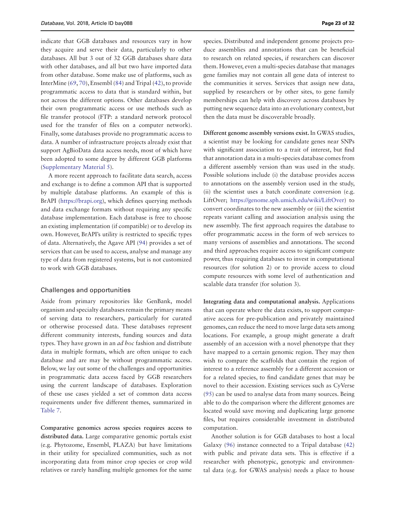indicate that GGB databases and resources vary in how they acquire and serve their data, particularly to other databases. All but 3 out of 32 GGB databases share data with other databases, and all but two have imported data from other database. Some make use of platforms, such as InterMine [\(69,](#page-30-28) [70\)](#page-30-29), Ensembl [\(84\)](#page-31-6) and Tripal [\(42\)](#page-30-3), to provide programmatic access to data that is standard within, but not across the different options. Other databases develop their own programmatic access or use methods such as file transfer protocol (FTP: a standard network protocol used for the transfer of files on a computer network). Finally, some databases provide no programmatic access to data. A number of infrastructure projects already exist that support AgBioData data access needs, most of which have been adopted to some degree by different GGB platforms [\(Supplementary Material 5\)](https://academic.oup.com/databa/article-lookup/doi/10.1093/databa/bay088#supplementary-data).

A more recent approach to facilitate data search, access and exchange is to define a common API that is supported by multiple database platforms. An example of this is BrAPI [\(https://brapi.org\)](https://brapi.org), which defines querying methods and data exchange formats without requiring any specific database implementation. Each database is free to choose an existing implementation (if compatible) or to develop its own. However, BrAPI's utility is restricted to specific types of data. Alternatively, the Agave API [\(94\)](#page-31-16) provides a set of services that can be used to access, analyse and manage any type of data from registered systems, but is not customized to work with GGB databases.

#### Challenges and opportunities

Aside from primary repositories like GenBank, model organism and specialty databases remain the primary means of serving data to researchers, particularly for curated or otherwise processed data. These databases represent different community interests, funding sources and data types. They have grown in an *ad hoc* fashion and distribute data in multiple formats, which are often unique to each database and are may be without programmatic access. Below, we lay out some of the challenges and opportunities in programmatic data access faced by GGB researchers using the current landscape of databases. Exploration of these use cases yielded a set of common data access requirements under five different themes, summarized in [Table 7.](#page-23-0)

**Comparative genomics across species requires access to distributed data.** Large comparative genomic portals exist (e.g. Phytozome, Ensembl, PLAZA) but have limitations in their utility for specialized communities, such as not incorporating data from minor crop species or crop wild relatives or rarely handling multiple genomes for the same

species. Distributed and independent genome projects produce assemblies and annotations that can be beneficial to research on related species, if researchers can discover them. However, even a multi-species database that manages gene families may not contain all gene data of interest to the communities it serves. Services that assign new data, supplied by researchers or by other sites, to gene family memberships can help with discovery across databases by putting new sequence data into an evolutionary context, but then the data must be discoverable broadly.

**Different genome assembly versions exist.** In GWAS studies, a scientist may be looking for candidate genes near SNPs with significant association to a trait of interest, but find that annotation data in a multi-species database comes from a different assembly version than was used in the study. Possible solutions include (i) the database provides access to annotations on the assembly version used in the study, (ii) the scientist uses a batch coordinate conversion (e.g. LiftOver; [https://genome.sph.umich.edu/wiki/LiftOver\)](https://genome.sph.umich.edu/wiki/LiftOver) to convert coordinates to the new assembly or (iii) the scientist repeats variant calling and association analysis using the new assembly. The first approach requires the database to offer programmatic access in the form of web services to many versions of assemblies and annotations. The second and third approaches require access to significant compute power, thus requiring databases to invest in computational resources (for solution 2) or to provide access to cloud compute resources with some level of authentication and scalable data transfer (for solution 3).

**Integrating data and computational analysis.** Applications that can operate where the data exists, to support comparative access for pre-publication and privately maintained genomes, can reduce the need to move large data sets among locations. For example, a group might generate a draft assembly of an accession with a novel phenotype that they have mapped to a certain genomic region. They may then wish to compare the scaffolds that contain the region of interest to a reference assembly for a different accession or for a related species, to find candidate genes that may be novel to their accession. Existing services such as CyVerse [\(95\)](#page-31-17) can be used to analyse data from many sources. Being able to do the comparison where the different genomes are located would save moving and duplicating large genome files, but requires considerable investment in distributed computation.

Another solution is for GGB databases to host a local Galaxy [\(96\)](#page-31-18) instance connected to a Tripal database [\(42\)](#page-30-3) with public and private data sets. This is effective if a researcher with phenotypic, genotypic and environmental data (e.g. for GWAS analysis) needs a place to house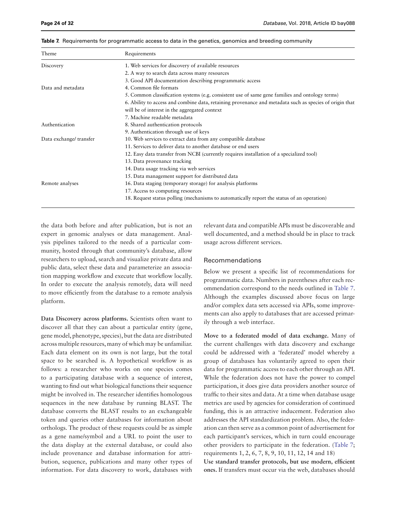| Theme                  | Requirements                                                                                            |  |  |  |
|------------------------|---------------------------------------------------------------------------------------------------------|--|--|--|
| Discovery              | 1. Web services for discovery of available resources                                                    |  |  |  |
|                        | 2. A way to search data across many resources                                                           |  |  |  |
|                        | 3. Good API documentation describing programmatic access                                                |  |  |  |
| Data and metadata      | 4. Common file formats                                                                                  |  |  |  |
|                        | 5. Common classification systems (e.g. consistent use of same gene families and ontology terms)         |  |  |  |
|                        | 6. Ability to access and combine data, retaining provenance and metadata such as species of origin that |  |  |  |
|                        | will be of interest in the aggregated context                                                           |  |  |  |
|                        | 7. Machine readable metadata                                                                            |  |  |  |
| Authentication         | 8. Shared authentication protocols                                                                      |  |  |  |
|                        | 9. Authentication through use of keys                                                                   |  |  |  |
| Data exchange/transfer | 10. Web services to extract data from any compatible database                                           |  |  |  |
|                        | 11. Services to deliver data to another database or end users                                           |  |  |  |
|                        | 12. Easy data transfer from NCBI (currently requires installation of a specialized tool)                |  |  |  |
|                        | 13. Data provenance tracking                                                                            |  |  |  |
|                        | 14. Data usage tracking via web services                                                                |  |  |  |
|                        | 15. Data management support for distributed data                                                        |  |  |  |
| Remote analyses        | 16. Data staging (temporary storage) for analysis platforms                                             |  |  |  |
|                        | 17. Access to computing resources                                                                       |  |  |  |
|                        | 18. Request status polling (mechanisms to automatically report the status of an operation)              |  |  |  |

<span id="page-23-0"></span>**Table 7.** Requirements for programmatic access to data in the genetics, genomics and breeding community

the data both before and after publication, but is not an expert in genomic analyses or data management. Analysis pipelines tailored to the needs of a particular community, hosted through that community's database, allow researchers to upload, search and visualize private data and public data, select these data and parameterize an association mapping workflow and execute that workflow locally. In order to execute the analysis remotely, data will need to move efficiently from the database to a remote analysis platform.

**Data Discovery across platforms.** Scientists often want to discover all that they can about a particular entity (gene, gene model, phenotype, species), but the data are distributed across multiple resources, many of which may be unfamiliar. Each data element on its own is not large, but the total space to be searched is. A hypothetical workflow is as follows: a researcher who works on one species comes to a participating database with a sequence of interest, wanting to find out what biological functions their sequence might be involved in. The researcher identifies homologous sequences in the new database by running BLAST. The database converts the BLAST results to an exchangeable token and queries other databases for information about orthologs. The product of these requests could be as simple as a gene name/symbol and a URL to point the user to the data display at the external database, or could also include provenance and database information for attribution, sequence, publications and many other types of information. For data discovery to work, databases with relevant data and compatible APIs must be discoverable and well documented, and a method should be in place to track usage across different services.

## Recommendations

Below we present a specific list of recommendations for programmatic data. Numbers in parentheses after each recommendation correspond to the needs outlined in [Table 7.](#page-23-0) Although the examples discussed above focus on large and/or complex data sets accessed via APIs, some improvements can also apply to databases that are accessed primarily through a web interface.

**Move to a federated model of data exchange.** Many of the current challenges with data discovery and exchange could be addressed with a 'federated' model whereby a group of databases has voluntarily agreed to open their data for programmatic access to each other through an API. While the federation does not have the power to compel participation, it does give data providers another source of traffic to their sites and data. At a time when database usage metrics are used by agencies for consideration of continued funding, this is an attractive inducement. Federation also addresses the API standardization problem. Also, the federation can then serve as a common point of advertisement for each participant's services, which in turn could encourage other providers to participate in the federation. [\(Table 7;](#page-23-0) requirements 1, 2, 6, 7, 8, 9, 10, 11, 12, 14 and 18)

**Use standard transfer protocols, but use modern, efficient ones.** If transfers must occur via the web, databases should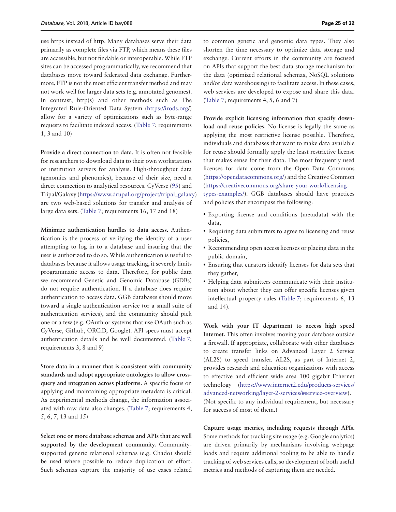use https instead of http. Many databases serve their data primarily as complete files via FTP, which means these files are accessible, but not findable or interoperable. While FTP sites can be accessed programmatically, we recommend that databases move toward federated data exchange. Furthermore, FTP is not the most efficient transfer method and may not work well for larger data sets (e.g. annotated genomes). In contrast, http(s) and other methods such as The Integrated Rule-Oriented Data System [\(https://irods.org/](https://irods.org)) allow for a variety of optimizations such as byte-range requests to facilitate indexed access. [\(Table 7;](#page-23-0) requirements 1, 3 and 10)

**Provide a direct connection to data.** It is often not feasible for researchers to download data to their own workstations or institution servers for analysis. High-throughput data (genomics and phenomics), because of their size, need a direct connection to analytical resources. CyVerse [\(95\)](#page-31-17) and Tripal/Galaxy [\(https://www.drupal.org/project/tripal\\_galaxy\)](https://www.drupal.org/project/tripal_galaxy) are two web-based solutions for transfer and analysis of large data sets. [\(Table 7;](#page-23-0) requirements 16, 17 and 18)

**Minimize authentication hurdles to data access.** Authentication is the process of verifying the identity of a user attempting to log in to a database and insuring that the user is authorized to do so. While authentication is useful to databases because it allows usage tracking, it severely limits programmatic access to data. Therefore, for public data we recommend Genetic and Genomic Database (GDBs) do not require authentication. If a database does require authentication to access data, GGB databases should move toward a single authentication service (or a small suite of authentication services), and the community should pick one or a few (e.g. OAuth or systems that use OAuth such as CyVerse, Github, ORCiD, Google). API specs must accept authentication details and be well documented. [\(Table 7;](#page-23-0) requirements 3, 8 and 9)

**Store data in a manner that is consistent with community standards and adopt appropriate ontologies to allow crossquery and integration across platforms.** A specific focus on applying and maintaining appropriate metadata is critical. As experimental methods change, the information associated with raw data also changes. [\(Table 7;](#page-23-0) requirements 4, 5, 6, 7, 13 and 15)

**Select one or more database schemas and APIs that are well supported by the development community.** Communitysupported generic relational schemas (e.g. Chado) should be used where possible to reduce duplication of effort. Such schemas capture the majority of use cases related to common genetic and genomic data types. They also shorten the time necessary to optimize data storage and exchange. Current efforts in the community are focused on APIs that support the best data storage mechanism for the data (optimized relational schemas, NoSQL solutions and/or data warehousing) to facilitate access. In these cases, web services are developed to expose and share this data. [\(Table 7;](#page-23-0) requirements 4, 5, 6 and 7)

**Provide explicit licensing information that specify download and reuse policies.** No license is legally the same as applying the most restrictive license possible. Therefore, individuals and databases that want to make data available for reuse should formally apply the least restrictive license that makes sense for their data. The most frequently used licenses for data come from the Open Data Commons [\(https://opendatacommons.org/\)](https://opendatacommons.org/) and the Creative Common (https://creativecommons.org/share-your-work/licensing[types-examples/\). GGB databases should have practice](https://creativecommons.org/share-your-work/licensing-types-examples/)s

and policies that encompass the following:

- Exporting license and conditions (metadata) with the data,
- Requiring data submitters to agree to licensing and reuse policies,
- Recommending open access licenses or placing data in the public domain,
- Ensuring that curators identify licenses for data sets that they gather,
- Helping data submitters communicate with their institution about whether they can offer specific licenses given intellectual property rules [\(Table 7;](#page-23-0) requirements 6, 13 and 14).

**Work with your IT department to access high speed Internet.** This often involves moving your database outside a firewall. If appropriate, collaborate with other databases to create transfer links on Advanced Layer 2 Service (AL2S) to speed transfer. AL2S, as part of Internet 2, provides research and education organizations with access to effective and efficient wide area 100 gigabit Ethernet [technology \(https://www.internet2.edu/products-services/](https://www.internet2.edu/products-services/advanced-networking/layer-2-services/#service-overview) advanced-networking/layer-2-services/#service-overview). (Not specific to any individual requirement, but necessary for success of most of them.)

**Capture usage metrics, including requests through APIs.** Some methods for tracking site usage (e.g. Google analytics) are driven primarily by mechanisms involving webpage loads and require additional tooling to be able to handle tracking of web services calls, so development of both useful metrics and methods of capturing them are needed.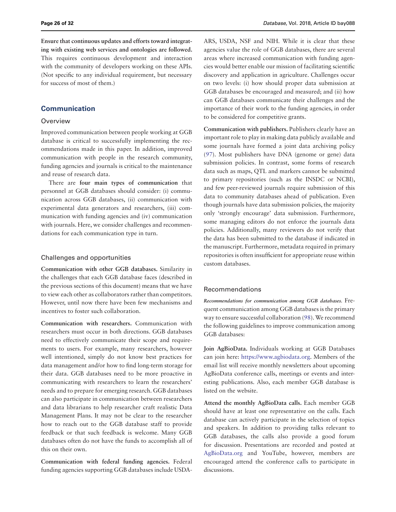**Ensure that continuous updates and efforts toward integrating with existing web services and ontologies are followed.** This requires continuous development and interaction with the community of developers working on these APIs. (Not specific to any individual requirement, but necessary for success of most of them.)

# **Communication**

## Overview

Improved communication between people working at GGB database is critical to successfully implementing the recommendations made in this paper. In addition, improved communication with people in the research community, funding agencies and journals is critical to the maintenance and reuse of research data.

There are **four main types of communication** that personnel at GGB databases should consider: (i) communication across GGB databases, (ii) communication with experimental data generators and researchers, (iii) communication with funding agencies and (iv) communication with journals. Here, we consider challenges and recommendations for each communication type in turn.

# Challenges and opportunities

**Communication with other GGB databases.** Similarity in the challenges that each GGB database faces (described in the previous sections of this document) means that we have to view each other as collaborators rather than competitors. However, until now there have been few mechanisms and incentives to foster such collaboration.

**Communication with researchers.** Communication with researchers must occur in both directions. GGB databases need to effectively communicate their scope and requirements to users. For example, many researchers, however well intentioned, simply do not know best practices for data management and/or how to find long-term storage for their data. GGB databases need to be more proactive in communicating with researchers to learn the researchers' needs and to prepare for emerging research. GGB databases can also participate in communication between researchers and data librarians to help researcher craft realistic Data Management Plans. It may not be clear to the researcher how to reach out to the GGB database staff to provide feedback or that such feedback is welcome. Many GGB databases often do not have the funds to accomplish all of this on their own.

**Communication with federal funding agencies.** Federal funding agencies supporting GGB databases include USDA-

ARS, USDA, NSF and NIH. While it is clear that these agencies value the role of GGB databases, there are several areas where increased communication with funding agencies would better enable our mission of facilitating scientific discovery and application in agriculture. Challenges occur on two levels: (i) how should proper data submission at GGB databases be encouraged and measured; and (ii) how can GGB databases communicate their challenges and the importance of their work to the funding agencies, in order to be considered for competitive grants.

**Communication with publishers.** Publishers clearly have an important role to play in making data publicly available and some journals have formed a joint data archiving policy [\(97\)](#page-31-19). Most publishers have DNA (genome or gene) data submission policies. In contrast, some forms of research data such as maps, QTL and markers cannot be submitted to primary repositories (such as the INSDC or NCBI), and few peer-reviewed journals require submission of this data to community databases ahead of publication. Even though journals have data submission policies, the majority only 'strongly encourage' data submission. Furthermore, some managing editors do not enforce the journals data policies. Additionally, many reviewers do not verify that the data has been submitted to the database if indicated in the manuscript. Furthermore, metadata required in primary repositories is often insufficient for appropriate reuse within custom databases.

#### Recommendations

*Recommendations for communication among GGB databases.* Frequent communication among GGB databases is the primary way to ensure successful collaboration [\(98\)](#page-31-20).We recommend the following guidelines to improve communication among GGB databases:

**Join AgBioData.** Individuals working at GGB Databases can join here: [https://www.agbiodata.org.](https://www.agbiodata.org) Members of the email list will receive monthly newsletters about upcoming AgBioData conference calls, meetings or events and interesting publications. Also, each member GGB database is listed on the website.

**Attend the monthly AgBioData calls.** Each member GGB should have at least one representative on the calls. Each database can actively participate in the selection of topics and speakers. In addition to providing talks relevant to GGB databases, the calls also provide a good forum for discussion. Presentations are recorded and posted at [AgBioData.org](http://AgBioData.org) and YouTube, however, members are encouraged attend the conference calls to participate in discussions.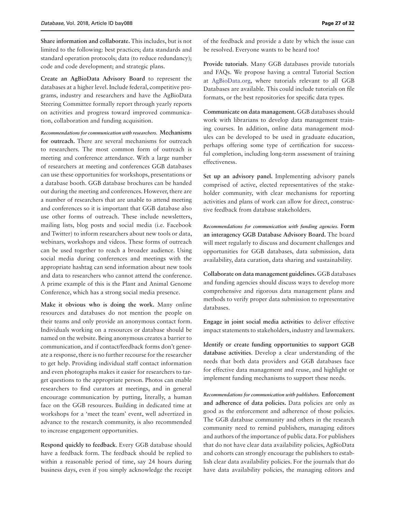**Share information and collaborate.** This includes, but is not limited to the following: best practices; data standards and standard operation protocols; data (to reduce redundancy); code and code development; and strategic plans.

**Create an AgBioData Advisory Board** to represent the databases at a higher level. Include federal, competitive programs, industry and researchers and have the AgBioData Steering Committee formally report through yearly reports on activities and progress toward improved communication, collaboration and funding acquisition.

*Recommendations for communication with researchers.* **Mechanisms for outreach.** There are several mechanisms for outreach to researchers. The most common form of outreach is meeting and conference attendance. With a large number of researchers at meeting and conferences GGB databases can use these opportunities for workshops, presentations or a database booth. GGB database brochures can be handed out during the meeting and conferences. However, there are a number of researchers that are unable to attend meeting and conferences so it is important that GGB database also use other forms of outreach. These include newsletters, mailing lists, blog posts and social media (i.e. Facebook and Twitter) to inform researchers about new tools or data, webinars, workshops and videos. These forms of outreach can be used together to reach a broader audience. Using social media during conferences and meetings with the appropriate hashtag can send information about new tools and data to researchers who cannot attend the conference. A prime example of this is the Plant and Animal Genome Conference, which has a strong social media presence.

**Make it obvious who is doing the work.** Many online resources and databases do not mention the people on their teams and only provide an anonymous contact form. Individuals working on a resources or database should be named on the website. Being anonymous creates a barrier to communication, and if contact/feedback forms don't generate a response, there is no further recourse for the researcher to get help. Providing individual staff contact information and even photographs makes it easier for researchers to target questions to the appropriate person. Photos can enable researchers to find curators at meetings, and in general encourage communication by putting, literally, a human face on the GGB resources. Building in dedicated time at workshops for a 'meet the team' event, well advertized in advance to the research community, is also recommended to increase engagement opportunities.

**Respond quickly to feedback**. Every GGB database should have a feedback form. The feedback should be replied to within a reasonable period of time, say 24 hours during business days, even if you simply acknowledge the receipt **Provide tutorials**. Many GGB databases provide tutorials and FAQs. We propose having a central Tutorial Section at [AgBioData.org,](http://AgBioData.org) where tutorials relevant to all GGB Databases are available. This could include tutorials on file formats, or the best repositories for specific data types.

**Communicate on data management.** GGB databases should work with librarians to develop data management training courses. In addition, online data management modules can be developed to be used in graduate education, perhaps offering some type of certification for successful completion, including long-term assessment of training effectiveness.

**Set up an advisory panel.** Implementing advisory panels comprised of active, elected representatives of the stakeholder community, with clear mechanisms for reporting activities and plans of work can allow for direct, constructive feedback from database stakeholders.

*Recommendations for communication with funding agencies.* **Form an interagency GGB Database Advisory Board.** The board will meet regularly to discuss and document challenges and opportunities for GGB databases, data submission, data availability, data curation, data sharing and sustainability.

**Collaborate on data management guidelines.**GGB databases and funding agencies should discuss ways to develop more comprehensive and rigorous data management plans and methods to verify proper data submission to representative databases.

**Engage in joint social media activities** to deliver effective impact statements to stakeholders, industry and lawmakers.

**Identify or create funding opportunities to support GGB database activities**. Develop a clear understanding of the needs that both data providers and GGB databases face for effective data management and reuse, and highlight or implement funding mechanisms to support these needs.

*Recommendations for communication with publishers.* **Enforcement and adherence of data policies.** Data policies are only as good as the enforcement and adherence of those policies. The GGB database community and others in the research community need to remind publishers, managing editors and authors of the importance of public data. For publishers that do not have clear data availability policies, AgBioData and cohorts can strongly encourage the publishers to establish clear data availability policies. For the journals that do have data availability policies, the managing editors and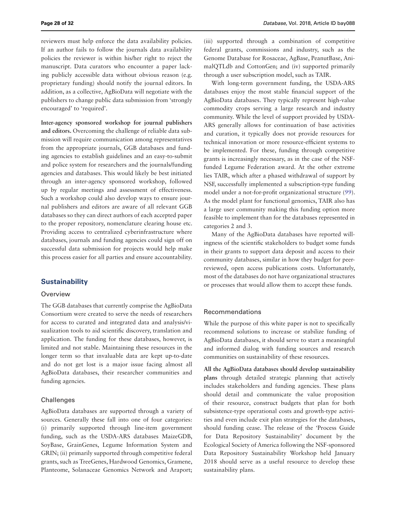reviewers must help enforce the data availability policies. If an author fails to follow the journals data availability policies the reviewer is within his/her right to reject the manuscript. Data curators who encounter a paper lacking publicly accessible data without obvious reason (e.g. proprietary funding) should notify the journal editors. In addition, as a collective, AgBioData will negotiate with the publishers to change public data submission from 'strongly encouraged' to 'required'.

**Inter-agency sponsored workshop for journal publishers and editors.** Overcoming the challenge of reliable data submission will require communication among representatives from the appropriate journals, GGB databases and funding agencies to establish guidelines and an easy-to-submit and police system for researchers and the journals/funding agencies and databases. This would likely be best initiated through an inter-agency sponsored workshop, followed up by regular meetings and assessment of effectiveness. Such a workshop could also develop ways to ensure journal publishers and editors are aware of all relevant GGB databases so they can direct authors of each accepted paper to the proper repository, nomenclature clearing house etc. Providing access to centralized cyberinfrastructure where databases, journals and funding agencies could sign off on successful data submission for projects would help make this process easier for all parties and ensure accountability.

# **Sustainability**

#### **Overview**

The GGB databases that currently comprise the AgBioData Consortium were created to serve the needs of researchers for access to curated and integrated data and analysis/visualization tools to aid scientific discovery, translation and application. The funding for these databases, however, is limited and not stable. Maintaining these resources in the longer term so that invaluable data are kept up-to-date and do not get lost is a major issue facing almost all AgBioData databases, their researcher communities and funding agencies.

## Challenges

AgBioData databases are supported through a variety of sources. Generally these fall into one of four categories: (i) primarily supported through line-item government funding, such as the USDA-ARS databases MaizeGDB, SoyBase, GrainGenes, Legume Information System and GRIN; (ii) primarily supported through competitive federal grants, such as TreeGenes, Hardwood Genomics, Gramene, Planteome, Solanaceae Genomics Network and Araport;

(iii) supported through a combination of competitive federal grants, commissions and industry, such as the Genome Database for Rosaceae, AgBase, PeanutBase, AnimalQTLdb and CottonGen; and (iv) supported primarily through a user subscription model, such as TAIR.

With long-term government funding, the USDA-ARS databases enjoy the most stable financial support of the AgBioData databases. They typically represent high-value commodity crops serving a large research and industry community. While the level of support provided by USDA-ARS generally allows for continuation of base activities and curation, it typically does not provide resources for technical innovation or more resource-efficient systems to be implemented. For these, funding through competitive grants is increasingly necessary, as in the case of the NSFfunded Legume Federation award. At the other extreme lies TAIR, which after a phased withdrawal of support by NSF, successfully implemented a subscription-type funding model under a not-for-profit organizational structure [\(99\)](#page-31-21). As the model plant for functional genomics, TAIR also has a large user community making this funding option more feasible to implement than for the databases represented in categories 2 and 3.

Many of the AgBioData databases have reported willingness of the scientific stakeholders to budget some funds in their grants to support data deposit and access to their community databases, similar in how they budget for peerreviewed, open access publications costs. Unfortunately, most of the databases do not have organizational structures or processes that would allow them to accept these funds.

#### Recommendations

While the purpose of this white paper is not to specifically recommend solutions to increase or stabilize funding of AgBioData databases, it should serve to start a meaningful and informed dialog with funding sources and research communities on sustainability of these resources.

**All the AgBioData databases should develop sustainability plans** through detailed strategic planning that actively includes stakeholders and funding agencies. These plans should detail and communicate the value proposition of their resource, construct budgets that plan for both subsistence-type operational costs and growth-type activities and even include exit plan strategies for the databases, should funding cease. The release of the 'Process Guide for Data Repository Sustainability' document by the Ecological Society of America following the NSF-sponsored Data Repository Sustainability Workshop held January 2018 should serve as a useful resource to develop these sustainability plans.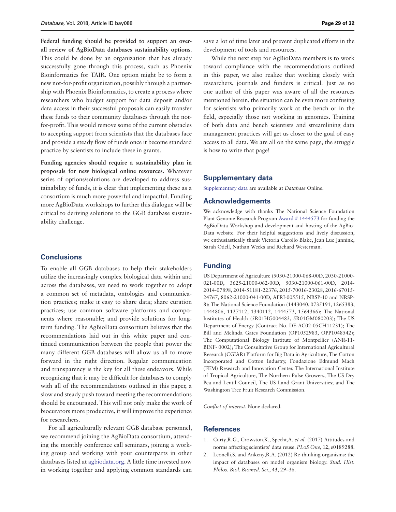**Federal funding should be provided to support an overall review of AgBioData databases sustainability options**. This could be done by an organization that has already successfully gone through this process, such as Phoenix Bioinformatics for TAIR. One option might be to form a new not-for-profit organization, possibly through a partnership with Phoenix Bioinformatics, to create a process where researchers who budget support for data deposit and/or data access in their successful proposals can easily transfer these funds to their community databases through the notfor-profit. This would remove some of the current obstacles to accepting support from scientists that the databases face and provide a steady flow of funds once it become standard practice by scientists to include these in grants.

**Funding agencies should require a sustainability plan in proposals for new biological online resources.** Whatever series of options/solutions are developed to address sustainability of funds, it is clear that implementing these as a consortium is much more powerful and impactful. Funding more AgBioData workshops to further this dialogue will be critical to deriving solutions to the GGB database sustainability challenge.

# **Conclusions**

To enable all GGB databases to help their stakeholders utilize the increasingly complex biological data within and across the databases, we need to work together to adopt a common set of metadata, ontologies and communication practices; make it easy to share data; share curation practices; use common software platforms and components where reasonable; and provide solutions for longterm funding. The AgBioData consortium believes that the recommendations laid out in this white paper and continued communication between the people that power the many different GGB databases will allow us all to move forward in the right direction. Regular communication and transparency is the key for all these endeavors. While recognizing that it may be difficult for databases to comply with all of the recommendations outlined in this paper, a slow and steady push toward meeting the recommendations should be encouraged. This will not only make the work of biocurators more productive, it will improve the experience for researchers.

For all agriculturally relevant GGB database personnel, we recommend joining the AgBioData consortium, attending the monthly conference call seminars, joining a working group and working with your counterparts in other databases listed at [agbiodata.org.](http://agbiodata.org) A little time invested now in working together and applying common standards can

save a lot of time later and prevent duplicated efforts in the development of tools and resources.

While the next step for AgBioData members is to work toward compliance with the recommendations outlined in this paper, we also realize that working closely with researchers, journals and funders is critical. Just as no one author of this paper was aware of all the resources mentioned herein, the situation can be even more confusing for scientists who primarily work at the bench or in the field, especially those not working in genomics. Training of both data and bench scientists and streamlining data management practices will get us closer to the goal of easy access to all data. We are all on the same page; the struggle is how to write that page!

## **Supplementary data**

[Supplementary data](https://academic.oup.com/databa/article-lookup/doi/10.1093/databa/bay088#supplementary-data) are available at *Database* Online.

# **Acknowledgements**

We acknowledge with thanks The National Science Foundation Plant Genome Research Program [Award # 1444573](https://www.nsf.gov/awardsearch/showAward?AWD_ID$=$1444573) for funding the AgBioData Workshop and development and hosting of the AgBio-Data website. For their helpful suggestions and lively discussion, we enthusiastically thank Victoria Carollo Blake, Jean Luc Jannink, Sarah Odell, Nathan Weeks and Richard Westerman.

# **Funding**

US Department of Agriculture (5030-21000-068-00D, 2030-21000- 021-00D, 3625-21000-062-00D, 5030-21000-061-00D, 2014-2014-07898, 2014-51181-22376, 2015-70016-23028, 2016-67015- 24767, 8062-21000-041-00D, AFRI-005515, NRSP-10 and NRSP-8); The National Science Foundation (1443040, 0735191, 1265383, 1444806, 1127112, 1340112, 1444573, 1564366); The National Institutes of Health (5R01HG004483, 5R01GM080203); The US Department of Energy (Contract No. DE-AC02-05CH11231); The Bill and Melinda Gates Foundation (OP1052983, OPP1048542); The Computational Biology Institute of Montpellier (ANR-11- BINF- 0002); The Consultative Group for International Agricultural Research (CGIAR) Platform for Big Data in Agriculture, The Cotton Incorporated and Cotton Industry, Fondazione Edmund Mach (FEM) Research and Innovation Center, The International Institute of Tropical Agriculture, The Northern Pulse Growers, The US Dry Pea and Lentil Council, The US Land Grant Universities; and The Washington Tree Fruit Research Commission.

*Conflict of interest*. None declared.

#### **References**

- <span id="page-28-0"></span>1. Curty,R.G., Crowston,K., Specht,A. *et al.* (2017) Attitudes and norms affecting scientists' data reuse. *PLoS One*, **12**, e0189288.
- <span id="page-28-1"></span>2. Leonelli,S. and Ankeny,R.A. (2012) Re-thinking organisms: the impact of databases on model organism biology. *Stud. Hist. Philos. Biol. Biomed. Sci.*, **43**, 29–36.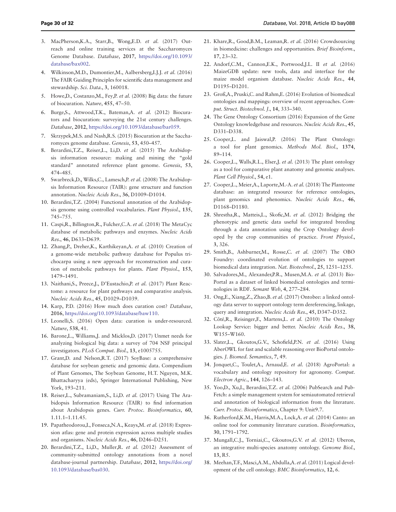- <span id="page-29-0"></span>3. MacPherson,K.A., Starr,B., Wong,E.D. *et al.* (2017) Outreach and online training services at the Saccharomyces Genome Database. *Database*, **2017**, [https://doi.org/10.1093/](https://doi.org/10.1093/database/bax002 ) database/bax002.
- <span id="page-29-1"></span>4. Wilkinson,M.D., Dumontier,M., Aalbersberg,I.J.J. *et al.* (2016) The FAIR Guiding Principles for scientific data management and stewardship. *Sci. Data.*, **3**, 160018.
- <span id="page-29-2"></span>5. Howe,D., Costanzo,M., Fey,P. *et al.* (2008) Big data: the future of biocuration. *Nature*, **455**, 47–50.
- 6. Burge,S., Attwood,T.K., Bateman,A. *et al.* (2012) Biocurators and biocuration: surveying the 21st century challenges. *Database*, **2012**, [https://doi.org/10.1093/database/bar059.](https://doi.org/10.1093/database/bar059 )
- <span id="page-29-3"></span>7. Skrzypek,M.S. and Nash,R.S. (2015) Biocuration at the Saccharomyces genome database. *Genesis*, **53**, 450–457.
- <span id="page-29-4"></span>8. Berardini,T.Z., Reiser,L., Li,D. *et al.* (2015) The Arabidopsis information resource: making and mining the "gold standard" annotated reference plant genome. *Genesis*, **53**, 474–485.
- 9. Swarbreck,D., Wilks,C., Lamesch,P. *et al.* (2008) The Arabidopsis Information Resource (TAIR): gene structure and function annotation. *Nucleic Acids Res.*, **36**, D1009–D1014.
- <span id="page-29-5"></span>10. Berardini,T.Z. (2004) Functional annotation of the Arabidopsis genome using controlled vocabularies. *Plant Physiol.*, **135**, 745–755.
- <span id="page-29-6"></span>11. Caspi,R., Billington,R., Fulcher,C.A. *et al.* (2018) The MetaCyc database of metabolic pathways and enzymes. *Nucleic Acids Res.*, **46**, D633–D639.
- <span id="page-29-7"></span>12. Zhang,P., Dreher,K., Karthikeyan,A. *et al.* (2010) Creation of a genome-wide metabolic pathway database for Populus trichocarpa using a new approach for reconstruction and curation of metabolic pathways for plants. *Plant Physiol.*, **153**, 1479–1491.
- <span id="page-29-8"></span>13. Naithani,S., Preece,J., D'Eustachio,P. *et al.* (2017) Plant Reactome: a resource for plant pathways and comparative analysis. *Nucleic Acids Res.*, **45**, D1029–D1039.
- <span id="page-29-9"></span>14. Karp, P.D. (2016) How much does curation cost? *Database*, **2016**, [https://doi.org/10.1093/database/baw110.](https://doi.org/10.1093/database/baw110 )
- <span id="page-29-10"></span>15. Leonelli,S. (2016) Open data: curation is under-resourced. *Nature*, **538**, 41.
- <span id="page-29-11"></span>16. Barone,L., Williams,J. and Micklos,D. (2017) Unmet needs for analyzing biological big data: a survey of 704 NSF principal investigators. *PLoS Comput. Biol.*, **13**, e1005755.
- <span id="page-29-12"></span>17. Grant,D. and Nelson,R.T. (2017) SoyBase: a comprehensive database for soybean genetic and genomic data. Compendium of Plant Genomes, The Soybean Genome, H.T. Nguyen, M.K. Bhattacharyya (eds), Springer International Publishing, New York, 193–211.
- <span id="page-29-13"></span>18. Reiser,L., Subramaniam,S., Li,D. *et al.* (2017) Using The Arabidopsis Information Resource (TAIR) to find information about Arabidopsis genes. *Curr. Protoc. Bioinformatics*, **60**, 1.11.1–1.11.45.
- <span id="page-29-14"></span>19. Papatheodorou,I., Fonseca,N.A., Keays,M. *et al.* (2018) Expression atlas: gene and protein expression across multiple studies and organisms. *Nucleic Acids Res.*, **46**, D246–D251.
- <span id="page-29-15"></span>20. Berardini,T.Z., Li,D., Muller,R. *et al.* (2012) Assessment of community-submitted ontology annotations from a novel [database-journal partnership.](https://doi.org/10.1093/database/bas030 ) *Database*, **2012**, https://doi.org/ 10.1093/database/bas030.
- <span id="page-29-16"></span>21. Khare,R., Good,B.M., Leaman,R. *et al.* (2016) Crowdsourcing in biomedicine: challenges and opportunities. *Brief Bioinform.*, **17**, 23–32.
- <span id="page-29-17"></span>22. Andorf,C.M., Cannon,E.K., Portwood,J.L. II *et al.* (2016) MaizeGDB update: new tools, data and interface for the maize model organism database. *Nucleic Acids Res.*, **44**, D1195–D1201.
- <span id="page-29-18"></span>23. Groß,A., Pruski,C. and Rahm,E. (2016) Evolution of biomedical ontologies and mappings: overview of recent approaches. *Comput. Struct. Biotechnol. J.*, **14**, 333–340.
- <span id="page-29-19"></span>24. The Gene Ontology Consortium (2016) Expansion of the Gene Ontology knowledgebase and resources. *Nucleic Acids Res.*, **45**, D331–D338.
- <span id="page-29-20"></span>25. Cooper,L. and Jaiswal,P. (2016) The Plant Ontology: a tool for plant genomics. *Methods Mol. Biol.*, **1374**, 89–114.
- 26. Cooper,L., Walls,R.L., Elser,J. *et al.* (2013) The plant ontology as a tool for comparative plant anatomy and genomic analyses. *Plant Cell Physiol.*, **54**, e1.
- <span id="page-29-21"></span>27. Cooper,L., Meier,A., Laporte,M.-A. *et al.* (2018) The Planteome database: an integrated resource for reference ontologies, plant genomics and phenomics. *Nucleic Acids Res.*, **46**, D1168–D1180.
- <span id="page-29-22"></span>28. Shrestha,R., Matteis,L., Skofic,M. *et al.* (2012) Bridging the phenotypic and genetic data useful for integrated breeding through a data annotation using the Crop Ontology developed by the crop communities of practice. *Front Physiol.*, **3**, 326.
- <span id="page-29-23"></span>29. Smith,B., Ashburner,M., Rosse,C. *et al.* (2007) The OBO Foundry: coordinated evolution of ontologies to support biomedical data integration. *Nat. Biotechnol.*, **25**, 1251–1255.
- <span id="page-29-24"></span>30. Salvadores,M., Alexander,P.R., Musen,M.A. *et al.* (2013) Bio-Portal as a dataset of linked biomedical ontologies and terminologies in RDF. *Semant Web*, **4**, 277–284.
- <span id="page-29-25"></span>31. Ong,E., Xiang,Z., Zhao,B. *et al.* (2017) Ontobee: a linked ontology data server to support ontology term dereferencing, linkage, query and integration. *Nucleic Acids Res.*, **45**, D347–D352.
- <span id="page-29-26"></span>32. Côté,R., Reisinger,F., Martens,L. *et al.* (2010) The Ontology Lookup Service: bigger and better. *Nucleic Acids Res.*, **38**, W155–W160.
- <span id="page-29-27"></span>33. Slater,L., Gkoutos,G.V., Schofield,P.N. *et al.* (2016) Using AberOWL for fast and scalable reasoning over BioPortal ontologies. *J. Biomed. Semantics*, **7**, 49.
- <span id="page-29-28"></span>34. Jonquet,C., Toulet,A., Arnaud,E. *et al.* (2018) AgroPortal: a vocabulary and ontology repository for agronomy. *Comput. Electron Agric.*, **144**, 126–143.
- <span id="page-29-29"></span>35. Yoo,D., Xu,I., Berardini,T.Z. *et al.* (2006) PubSearch and Pub-Fetch: a simple management system for semiautomated retrieval and annotation of biological information from the literature. *Curr. Protoc. Bioinformatics*, Chapter 9: Unit9.7.
- <span id="page-29-30"></span>36. Rutherford,K.M., Harris,M.A., Lock,A. *et al.* (2014) Canto: an online tool for community literature curation. *Bioinformatics*, **30**, 1791–1792.
- <span id="page-29-31"></span>37. Mungall,C.J., Torniai,C., Gkoutos,G.V. *et al.* (2012) Uberon, an integrative multi-species anatomy ontology. *Genome Biol.*, **13**, R5.
- <span id="page-29-32"></span>38. Meehan,T.F.,Masci,A.M., Abdulla,A. *et al.*(2011) Logical development of the cell ontology. *BMC Bioinformatics*, **12**, 6.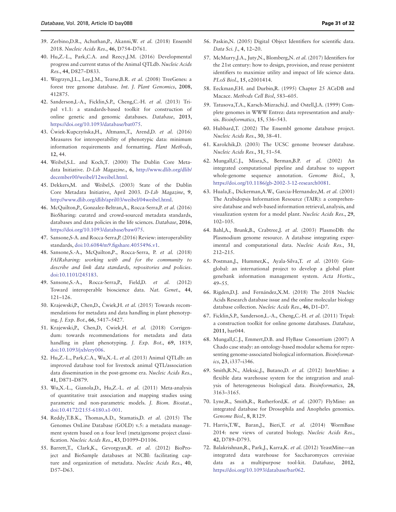- <span id="page-30-0"></span>39. Zerbino,D.R., Achuthan,P., Akanni,W. *et al.* (2018) Ensembl 2018. *Nucleic Acids Res.*, **46**, D754–D761.
- <span id="page-30-1"></span>40. Hu,Z.-L., Park,C.A. and Reecy,J.M. (2016) Developmental progress and current status of the Animal QTLdb. *Nucleic Acids Res.*, **44**, D827–D833.
- <span id="page-30-2"></span>41. Wegrzyn,J.L., Lee,J.M., Tearse,B.R. *et al.* (2008) TreeGenes: a forest tree genome database. *Int. J. Plant Genomics*, **2008**, 412875.
- <span id="page-30-3"></span>42. Sanderson,L-A., Ficklin,S.P., Cheng,C.-H. *et al.* (2013) Tripal v1.1: a standards-based toolkit for construction of online genetic and genomic databases. *Database*, **2013**, [https://doi.org/10.1093/database/bat075.](https://doi.org/10.1093/database/bat075 )
- <span id="page-30-4"></span>43. Ćwiek-Kupczyńska,H., Altmann,T., Arend,D. et al. (2016) Measures for interoperability of phenotypic data: minimum information requirements and formatting. *Plant Methods*, **12**, 44.
- <span id="page-30-5"></span>44. Weibel,S.L. and Koch,T. (2000) The Dublin Core Metadata Initiative. *D-Lib Magazine.*, **6**, http://www.dlib.org/dlib/ [december00/weibel/12weibel.html.](http://www.dlib.org/dlib/december00/weibel/12weibel.html)
- <span id="page-30-6"></span>45. Dekkers,M. and Weibel,S. (2003) State of the Dublin Core Metadata Initiative, April 2003. *D-Lib Magazine*, **9**, [http://www.dlib.org/dlib/april03/weibel/04weibel.html.](http://www.dlib.org/dlib/april03/weibel/04weibel.html)
- <span id="page-30-7"></span>46. McQuilton,P., Gonzalez-Beltran,A., Rocca-Serra,P. *et al.* (2016) BioSharing: curated and crowd-sourced metadata standards, databases and data policies in the life sciences. *Database*, **2016**, [https://doi.org/10.1093/database/baw075.](https://doi.org/10.1093/database/baw075)
- 47. Sansone,S-A. and Rocca-Serra,P. (2016) Review: interoperability standards, [doi:10.6084/m9.figshare.4055496.v1.](https://figshare.com/articles/Review_Interoperability_standards/4055496/1)
- <span id="page-30-8"></span>48. Sansone,S.-A., McQuilton,P., Rocca-Serra, P. *et al.* (2018) *FAIRsharing: working with and for the community to describe and link data standards, repositories and policies*. [doi:10.1101/245183.](https://www.biorxiv.org/content/early/2018/01/17/245183)
- <span id="page-30-9"></span>49. Sansone,S.-A., Rocca-Serra,P., Field,D. *et al.* (2012) Toward interoperable bioscience data. *Nat. Genet.*, **44**, 121–126.
- <span id="page-30-10"></span>50. Krajewski, P., Chen, D., Cwiek, H. et al. (2015) Towards recommendations for metadata and data handling in plant phenotyping. *J. Exp. Bot.*, **66**, 5417–5427.
- <span id="page-30-11"></span>51. Krajewski,P., Chen,D, Cwiek,H. *et al.* (2018) Corrigendum: towards recommendations for metadata and data handling in plant phenotyping. *J. Exp. Bot.*, **69**, 1819, [doi:10.1093/jxb/ery006.](https://academic.oup.com/jxb/article/69/7/1819/4873971)
- <span id="page-30-12"></span>52. Hu,Z.-L., Park,C.A., Wu,X.-L. *et al.* (2013) Animal QTLdb: an improved database tool for livestock animal QTL/association data dissemination in the post-genome era. *Nucleic Acids Res.*, **41**, D871–D879.
- <span id="page-30-13"></span>53. Wu,X.-L., Gianola,D., Hu,Z.-L. *et al.* (2011) Meta-analysis of quantitative trait association and mapping studies using parametric and non-parametric models. *J. Biom. Biostat*., [doi:10.4172/2155-6180.s1-001.](https://www.omicsonline.org/meta-analysis-of-quantitative-trait-association-and-mapping-studies-using-parametric-and-non-parametric-models-2155-6180.S1-001.php?aid$=$2197)
- 54. Reddy,T.B.K., Thomas,A.D., Stamatis,D. *et al.* (2015) The Genomes OnLine Database (GOLD) v.5: a metadata management system based on a four level (meta)genome project classification. *Nucleic Acids Res.*, **43**, D1099–D1106.
- <span id="page-30-14"></span>55. Barrett,T., Clark,K., Gevorgyan,R. *et al.* (2012) BioProject and BioSample databases at NCBI: facilitating capture and organization of metadata. *Nucleic Acids Res.*, **40**, D57–D63.
- <span id="page-30-15"></span>56. Paskin,N. (2005) Digital Object Identifiers for scientific data. *Data Sci. J.*, **4**, 12–20.
- <span id="page-30-16"></span>57. McMurry,J.A., Juty,N., Blomberg,N. *et al.* (2017) Identifiers for the 21st century: how to design, provision, and reuse persistent identifiers to maximize utility and impact of life science data. *PLoS Biol.*, **15**, e2001414.
- <span id="page-30-17"></span>58. Eeckman,F.H. and Durbin,R. (1995) Chapter 25 ACeDB and Macace. *Methods Cell Biol*, 583–605.
- <span id="page-30-18"></span>59. Tatusova,T.A., Karsch-Mizrachi,I. and Ostell,J.A. (1999) Complete genomes in WWW Entrez: data representation and analysis. *Bioinformatics*, **15**, 536–543.
- <span id="page-30-19"></span>60. Hubbard,T. (2002) The Ensembl genome database project. *Nucleic Acids Res.*, **30**, 38–41.
- <span id="page-30-20"></span>61. Karolchik,D. (2003) The UCSC genome browser database. *Nucleic Acids Res.*, **31**, 51–54.
- <span id="page-30-21"></span>62. Mungall,C.J., Misra,S., Berman,B.P. *et al.* (2002) An integrated computational pipeline and database to support whole-genome sequence annotation. *Genome Biol.*, **3**, [https://doi.org/10.1186/gb-2002-3-12-research0081.](https://doi.org/10.1186/gb-2002-3-12-research0081)
- <span id="page-30-22"></span>63. Huala,E., Dickerman,A.W., Garcia-Hernandez,M. *et al.* (2001) The Arabidopsis Information Resource (TAIR): a comprehensive database and web-based information retrieval, analysis, and visualization system for a model plant. *Nucleic Acids Res.*, **29**, 102–105.
- <span id="page-30-23"></span>64. Bahl,A., Brunk,B., Crabtree,J. *et al.* (2003) PlasmoDB: the Plasmodium genome resource. A database integrating experimental and computational data. *Nucleic Acids Res.*, **31**, 212–215.
- <span id="page-30-24"></span>65. Postman,J., Hummer,K., Ayala-Silva,T. *et al.* (2010) Gringlobal: an international project to develop a global plant genebank information management system. *Acta Hortic.*, 49–55.
- <span id="page-30-25"></span>66. Rigden,D.J. and Fernández,X.M. (2018) The 2018 Nucleic Acids Research database issue and the online molecular biology database collection. *Nucleic Acids Res.*, **46**, D1–D7.
- <span id="page-30-26"></span>67. Ficklin,S.P., Sanderson,L.-A., Cheng,C.-H. *et al.* (2011) Tripal: a construction toolkit for online genome databases. *Database*, **2011**, bar044.
- <span id="page-30-27"></span>68. Mungall,C.J., Emmert,D.B. and FlyBase Consortium (2007) A Chado case study: an ontology-based modular schema for representing genome-associated biological information. *Bioinformatics*, **23**, i337–i346.
- <span id="page-30-28"></span>69. Smith,R.N., Aleksic,J., Butano,D. *et al.* (2012) InterMine: a flexible data warehouse system for the integration and analysis of heterogeneous biological data. *Bioinformatics*, **28**, 3163–3165.
- <span id="page-30-29"></span>70. Lyne,R., Smith,R., Rutherford,K. *et al.* (2007) FlyMine: an integrated database for Drosophila and Anopheles genomics. *Genome Biol.*, **8**, R129.
- <span id="page-30-30"></span>71. Harris,T.W., Baran,J., Bieri,T. *et al.* (2014) WormBase 2014: new views of curated biology. *Nucleic Acids Res.*, **42**, D789–D793.
- 72. Balakrishnan,R., Park,J., Karra,K. *et al.* (2012) YeastMine—an integrated data warehouse for Saccharomyces cerevisiae data as a multipurpose tool-kit. *Database*, **2012**, [https://doi.org/10.1093/database/bar062.](https://doi.org/10.1093/database/bar062)